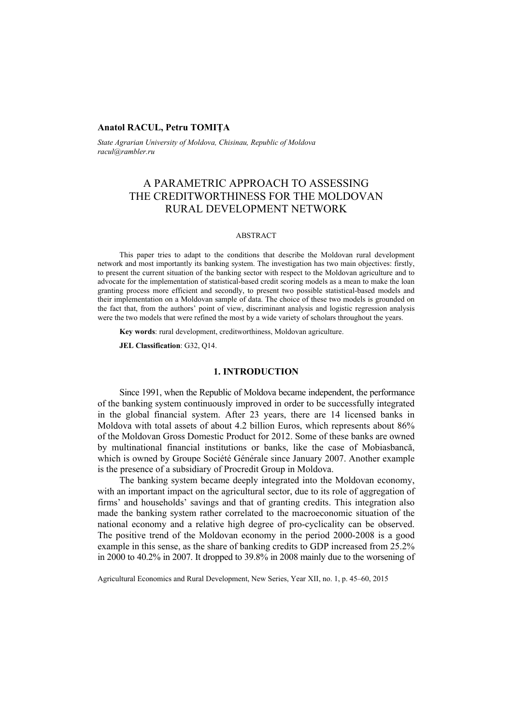# **Anatol RACUL, Petru TOMIŢA**

*State Agrarian University of Moldova, Chisinau, Republic of Moldova racul@rambler.ru* 

# A PARAMETRIC APPROACH TO ASSESSING THE CREDITWORTHINESS FOR THE MOLDOVAN RURAL DEVELOPMENT NETWORK

#### ABSTRACT

This paper tries to adapt to the conditions that describe the Moldovan rural development network and most importantly its banking system. The investigation has two main objectives: firstly, to present the current situation of the banking sector with respect to the Moldovan agriculture and to advocate for the implementation of statistical-based credit scoring models as a mean to make the loan granting process more efficient and secondly, to present two possible statistical-based models and their implementation on a Moldovan sample of data. The choice of these two models is grounded on the fact that, from the authors' point of view, discriminant analysis and logistic regression analysis were the two models that were refined the most by a wide variety of scholars throughout the years.

**Key words**: rural development, creditworthiness, Moldovan agriculture.

**JEL Classification**: G32, Q14.

## **1. INTRODUCTION**

Since 1991, when the Republic of Moldova became independent, the performance of the banking system continuously improved in order to be successfully integrated in the global financial system. After 23 years, there are 14 licensed banks in Moldova with total assets of about 4.2 billion Euros, which represents about 86% of the Moldovan Gross Domestic Product for 2012. Some of these banks are owned by multinational financial institutions or banks, like the case of Mobiasbancă, which is owned by Groupe Société Générale since January 2007. Another example is the presence of a subsidiary of Procredit Group in Moldova.

The banking system became deeply integrated into the Moldovan economy, with an important impact on the agricultural sector, due to its role of aggregation of firms' and households' savings and that of granting credits. This integration also made the banking system rather correlated to the macroeconomic situation of the national economy and a relative high degree of pro-cyclicality can be observed. The positive trend of the Moldovan economy in the period 2000-2008 is a good example in this sense, as the share of banking credits to GDP increased from 25.2% in 2000 to 40.2% in 2007. It dropped to 39.8% in 2008 mainly due to the worsening of

Agricultural Economics and Rural Development, New Series, Year XII, no. 1, p. 45–60, 2015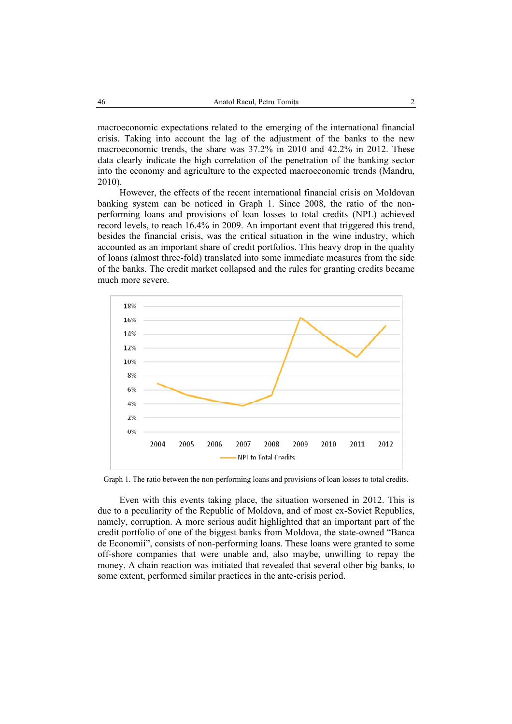macroeconomic expectations related to the emerging of the international financial crisis. Taking into account the lag of the adjustment of the banks to the new macroeconomic trends, the share was 37.2% in 2010 and 42.2% in 2012. These data clearly indicate the high correlation of the penetration of the banking sector into the economy and agriculture to the expected macroeconomic trends (Mandru, 2010).

However, the effects of the recent international financial crisis on Moldovan banking system can be noticed in Graph 1. Since 2008, the ratio of the nonperforming loans and provisions of loan losses to total credits (NPL) achieved record levels, to reach 16.4% in 2009. An important event that triggered this trend, besides the financial crisis, was the critical situation in the wine industry, which accounted as an important share of credit portfolios. This heavy drop in the quality of loans (almost three-fold) translated into some immediate measures from the side of the banks. The credit market collapsed and the rules for granting credits became much more severe.



Graph 1. The ratio between the non-performing loans and provisions of loan losses to total credits.

Even with this events taking place, the situation worsened in 2012. This is due to a peculiarity of the Republic of Moldova, and of most ex-Soviet Republics, namely, corruption. A more serious audit highlighted that an important part of the credit portfolio of one of the biggest banks from Moldova, the state-owned "Banca de Economii", consists of non-performing loans. These loans were granted to some off-shore companies that were unable and, also maybe, unwilling to repay the money. A chain reaction was initiated that revealed that several other big banks, to some extent, performed similar practices in the ante-crisis period.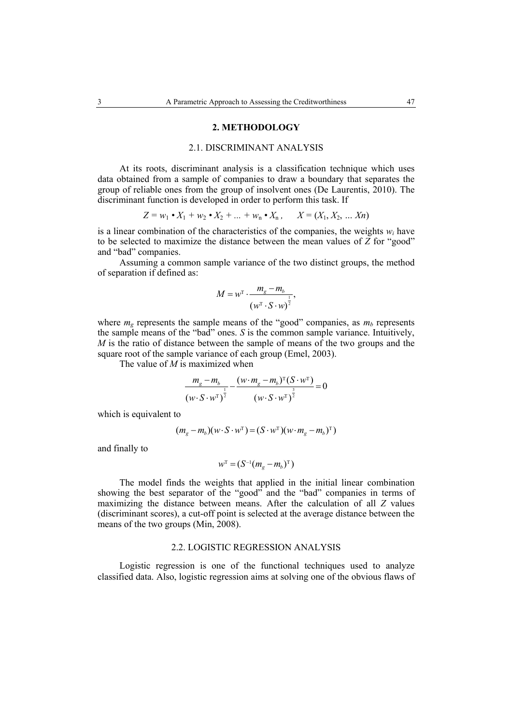### **2. METHODOLOGY**

# 2.1. DISCRIMINANT ANALYSIS

At its roots, discriminant analysis is a classification technique which uses data obtained from a sample of companies to draw a boundary that separates the group of reliable ones from the group of insolvent ones (De Laurentis, 2010). The discriminant function is developed in order to perform this task. If

$$
Z = w_1 \cdot X_1 + w_2 \cdot X_2 + \dots + w_n \cdot X_n, \qquad X = (X_1, X_2, \dots X_n)
$$

is a linear combination of the characteristics of the companies, the weights *wi* have to be selected to maximize the distance between the mean values of *Z* for "good" and "bad" companies.

Assuming a common sample variance of the two distinct groups, the method of separation if defined as:

$$
M = w^{\mathrm{T}} \cdot \frac{m_{\mathrm{g}} - m_{\mathrm{b}}}{\left(w^{\mathrm{T}} \cdot S \cdot w\right)^{\frac{1}{2}}},
$$

where  $m_\varphi$  represents the sample means of the "good" companies, as  $m_b$  represents the sample means of the "bad" ones. *S* is the common sample variance. Intuitively, *M* is the ratio of distance between the sample of means of the two groups and the square root of the sample variance of each group (Emel, 2003).

The value of *M* is maximized when

$$
\frac{m_{g}-m_{b}}{\left(w \cdot S \cdot w^{\mathrm{T}}\right)^{\frac{1}{2}}}-\frac{(w \cdot m_{g}-m_{b})^{\mathrm{T}}(S \cdot w^{\mathrm{T}})}{\left(w \cdot S \cdot w^{\mathrm{T}}\right)^{\frac{3}{2}}}=0
$$

which is equivalent to

$$
(m_g - m_b)(w \cdot S \cdot w^{\mathrm{T}}) = (S \cdot w^{\mathrm{T}})(w \cdot m_g - m_b)^{\mathrm{T}})
$$

and finally to

$$
W^{\rm T} = (S^{-1}(m_{\rm g} - m_{\rm b})^{\rm T})
$$

The model finds the weights that applied in the initial linear combination showing the best separator of the "good" and the "bad" companies in terms of maximizing the distance between means. After the calculation of all *Z* values (discriminant scores), a cut-off point is selected at the average distance between the means of the two groups (Min, 2008).

#### 2.2. LOGISTIC REGRESSION ANALYSIS

Logistic regression is one of the functional techniques used to analyze classified data. Also, logistic regression aims at solving one of the obvious flaws of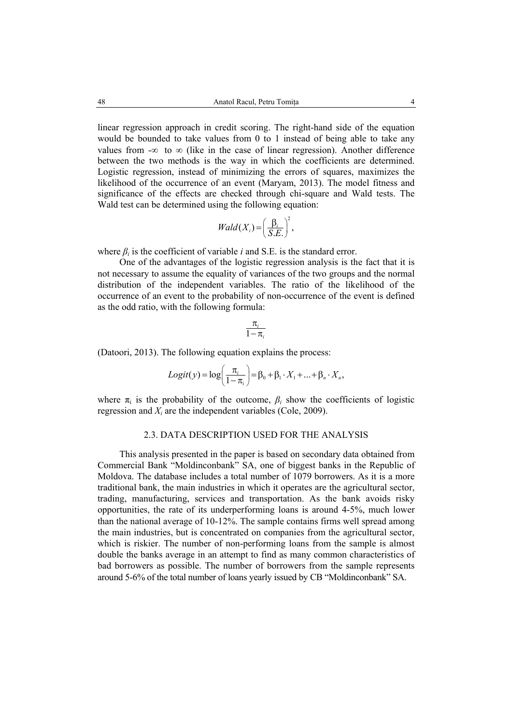linear regression approach in credit scoring. The right-hand side of the equation would be bounded to take values from 0 to 1 instead of being able to take any values from - $\infty$  to  $\infty$  (like in the case of linear regression). Another difference between the two methods is the way in which the coefficients are determined. Logistic regression, instead of minimizing the errors of squares, maximizes the likelihood of the occurrence of an event (Maryam, 2013). The model fitness and significance of the effects are checked through chi-square and Wald tests. The Wald test can be determined using the following equation:

$$
Wald(X_i) = \left(\frac{\beta_i}{S.E.}\right)^2,
$$

where  $\beta_i$  is the coefficient of variable *i* and S.E. is the standard error.

One of the advantages of the logistic regression analysis is the fact that it is not necessary to assume the equality of variances of the two groups and the normal distribution of the independent variables. The ratio of the likelihood of the occurrence of an event to the probability of non-occurrence of the event is defined as the odd ratio, with the following formula:

$$
\frac{\pi_i}{1-\pi_i}
$$

(Datoori, 2013). The following equation explains the process:

$$
Logit(y) = log\left(\frac{\pi_i}{1-\pi_i}\right) = \beta_0 + \beta_1 \cdot X_1 + \dots + \beta_n \cdot X_n,
$$

where  $\pi_i$  is the probability of the outcome,  $\beta_i$  show the coefficients of logistic regression and *Xi* are the independent variables (Cole, 2009).

## 2.3. DATA DESCRIPTION USED FOR THE ANALYSIS

This analysis presented in the paper is based on secondary data obtained from Commercial Bank "Moldinconbank" SA, one of biggest banks in the Republic of Moldova. The database includes a total number of 1079 borrowers. As it is a more traditional bank, the main industries in which it operates are the agricultural sector, trading, manufacturing, services and transportation. As the bank avoids risky opportunities, the rate of its underperforming loans is around 4-5%, much lower than the national average of 10-12%. The sample contains firms well spread among the main industries, but is concentrated on companies from the agricultural sector, which is riskier. The number of non-performing loans from the sample is almost double the banks average in an attempt to find as many common characteristics of bad borrowers as possible. The number of borrowers from the sample represents around 5-6% of the total number of loans yearly issued by CB "Moldinconbank" SA.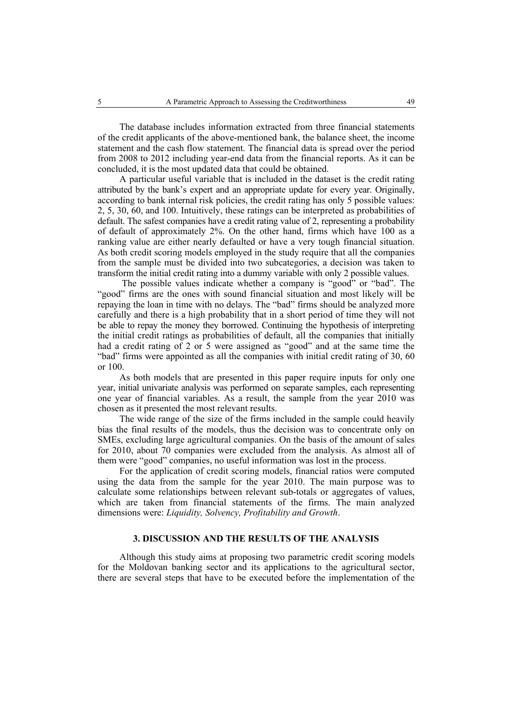The database includes information extracted from three financial statements of the credit applicants of the above-mentioned bank, the balance sheet, the income statement and the cash flow statement. The financial data is spread over the period from 2008 to 2012 including year-end data from the financial reports. As it can be concluded, it is the most updated data that could be obtained.

A particular useful variable that is included in the dataset is the credit rating attributed by the bank's expert and an appropriate update for every year. Originally, according to bank internal risk policies, the credit rating has only 5 possible values: 2, 5, 30, 60, and 100. Intuitively, these ratings can be interpreted as probabilities of default. The safest companies have a credit rating value of 2, representing a probability of default of approximately 2%. On the other hand, firms which have 100 as a ranking value are either nearly defaulted or have a very tough financial situation. As both credit scoring models employed in the study require that all the companies from the sample must be divided into two subcategories, a decision was taken to transform the initial credit rating into a dummy variable with only 2 possible values.

 The possible values indicate whether a company is "good" or "bad". The "good" firms are the ones with sound financial situation and most likely will be repaying the loan in time with no delays. The "bad" firms should be analyzed more carefully and there is a high probability that in a short period of time they will not be able to repay the money they borrowed. Continuing the hypothesis of interpreting the initial credit ratings as probabilities of default, all the companies that initially had a credit rating of 2 or 5 were assigned as "good" and at the same time the "bad" firms were appointed as all the companies with initial credit rating of 30, 60 or 100.

As both models that are presented in this paper require inputs for only one year, initial univariate analysis was performed on separate samples, each representing one year of financial variables. As a result, the sample from the year 2010 was chosen as it presented the most relevant results.

The wide range of the size of the firms included in the sample could heavily bias the final results of the models, thus the decision was to concentrate only on SMEs, excluding large agricultural companies. On the basis of the amount of sales for 2010, about 70 companies were excluded from the analysis. As almost all of them were "good" companies, no useful information was lost in the process.

For the application of credit scoring models, financial ratios were computed using the data from the sample for the year 2010. The main purpose was to calculate some relationships between relevant sub-totals or aggregates of values, which are taken from financial statements of the firms. The main analyzed dimensions were: *Liquidity, Solvency, Profitability and Growth*.

# **3. DISCUSSION AND THE RESULTS OF THE ANALYSIS**

Although this study aims at proposing two parametric credit scoring models for the Moldovan banking sector and its applications to the agricultural sector, there are several steps that have to be executed before the implementation of the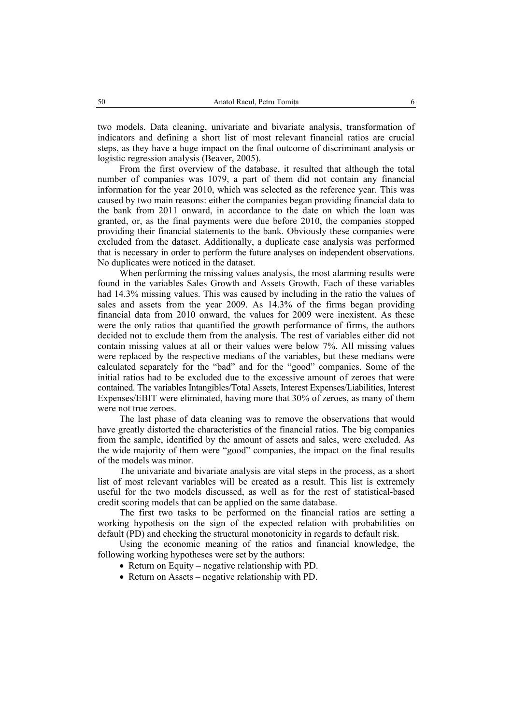two models. Data cleaning, univariate and bivariate analysis, transformation of indicators and defining a short list of most relevant financial ratios are crucial steps, as they have a huge impact on the final outcome of discriminant analysis or logistic regression analysis (Beaver, 2005).

From the first overview of the database, it resulted that although the total number of companies was 1079, a part of them did not contain any financial information for the year 2010, which was selected as the reference year. This was caused by two main reasons: either the companies began providing financial data to the bank from 2011 onward, in accordance to the date on which the loan was granted, or, as the final payments were due before 2010, the companies stopped providing their financial statements to the bank. Obviously these companies were excluded from the dataset. Additionally, a duplicate case analysis was performed that is necessary in order to perform the future analyses on independent observations. No duplicates were noticed in the dataset.

When performing the missing values analysis, the most alarming results were found in the variables Sales Growth and Assets Growth. Each of these variables had 14.3% missing values. This was caused by including in the ratio the values of sales and assets from the year 2009. As 14.3% of the firms began providing financial data from 2010 onward, the values for 2009 were inexistent. As these were the only ratios that quantified the growth performance of firms, the authors decided not to exclude them from the analysis. The rest of variables either did not contain missing values at all or their values were below 7%. All missing values were replaced by the respective medians of the variables, but these medians were calculated separately for the "bad" and for the "good" companies. Some of the initial ratios had to be excluded due to the excessive amount of zeroes that were contained. The variables Intangibles/Total Assets, Interest Expenses/Liabilities, Interest Expenses/EBIT were eliminated, having more that 30% of zeroes, as many of them were not true zeroes.

The last phase of data cleaning was to remove the observations that would have greatly distorted the characteristics of the financial ratios. The big companies from the sample, identified by the amount of assets and sales, were excluded. As the wide majority of them were "good" companies, the impact on the final results of the models was minor.

The univariate and bivariate analysis are vital steps in the process, as a short list of most relevant variables will be created as a result. This list is extremely useful for the two models discussed, as well as for the rest of statistical-based credit scoring models that can be applied on the same database.

The first two tasks to be performed on the financial ratios are setting a working hypothesis on the sign of the expected relation with probabilities on default (PD) and checking the structural monotonicity in regards to default risk.

Using the economic meaning of the ratios and financial knowledge, the following working hypotheses were set by the authors:

- Return on Equity negative relationship with PD.
- Return on Assets negative relationship with PD.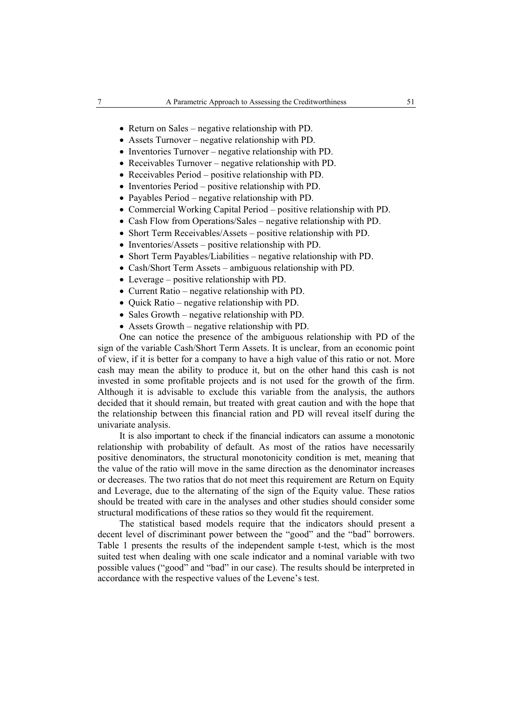- Return on Sales negative relationship with PD.
- Assets Turnover negative relationship with PD.
- Inventories Turnover negative relationship with PD.
- Receivables Turnover negative relationship with PD.
- Receivables Period positive relationship with PD.
- Inventories Period positive relationship with PD.
- Payables Period negative relationship with PD.
- Commercial Working Capital Period positive relationship with PD.
- Cash Flow from Operations/Sales negative relationship with PD.
- Short Term Receivables/Assets positive relationship with PD.
- Inventories/Assets positive relationship with PD.
- Short Term Payables/Liabilities negative relationship with PD.
- Cash/Short Term Assets ambiguous relationship with PD.
- Leverage positive relationship with PD.
- Current Ratio negative relationship with PD.
- Quick Ratio negative relationship with PD.
- Sales Growth negative relationship with PD.
- Assets Growth negative relationship with PD.

One can notice the presence of the ambiguous relationship with PD of the sign of the variable Cash/Short Term Assets. It is unclear, from an economic point of view, if it is better for a company to have a high value of this ratio or not. More cash may mean the ability to produce it, but on the other hand this cash is not invested in some profitable projects and is not used for the growth of the firm. Although it is advisable to exclude this variable from the analysis, the authors decided that it should remain, but treated with great caution and with the hope that the relationship between this financial ration and PD will reveal itself during the univariate analysis.

It is also important to check if the financial indicators can assume a monotonic relationship with probability of default. As most of the ratios have necessarily positive denominators, the structural monotonicity condition is met, meaning that the value of the ratio will move in the same direction as the denominator increases or decreases. The two ratios that do not meet this requirement are Return on Equity and Leverage, due to the alternating of the sign of the Equity value. These ratios should be treated with care in the analyses and other studies should consider some structural modifications of these ratios so they would fit the requirement.

The statistical based models require that the indicators should present a decent level of discriminant power between the "good" and the "bad" borrowers. Table 1 presents the results of the independent sample t-test, which is the most suited test when dealing with one scale indicator and a nominal variable with two possible values ("good" and "bad" in our case). The results should be interpreted in accordance with the respective values of the Levene's test.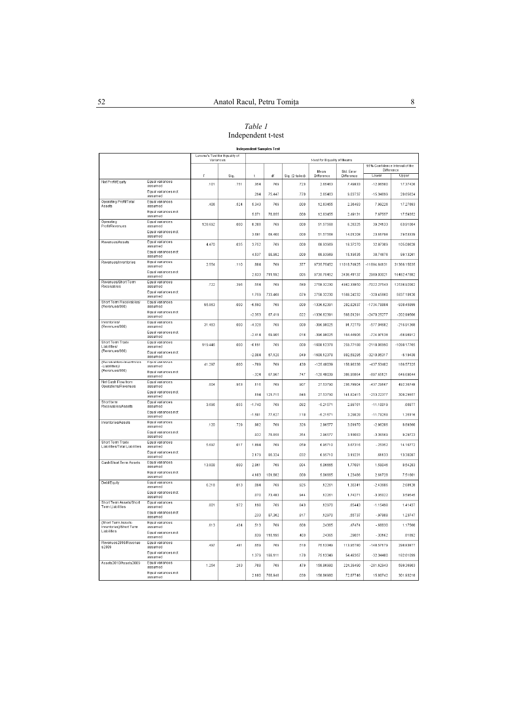# *Table 1*  Independent t-test

## Independent Samples Test

|                                                    |                                   | Levene's Test for Equality of<br>Variances |      | t-test for Equality of Means |         |                 |                    |                                              |                |               |
|----------------------------------------------------|-----------------------------------|--------------------------------------------|------|------------------------------|---------|-----------------|--------------------|----------------------------------------------|----------------|---------------|
|                                                    |                                   |                                            |      |                              |         |                 |                    | 95% Confidence Interval of the<br>Difference |                |               |
|                                                    |                                   | F                                          | Sig. | t                            | df      | Sig. (2-tailed) | Mean<br>Difference | Std. Error<br>Difference                     | Lower          | Upper         |
| Net Profit/Equity                                  | Equal variances<br>assumed        | .101                                       | .751 | 354                          | 769     | .723            | 2.65463            | 7.49833                                      | $-12.06500$    | 17.37426      |
|                                                    | Equal variances not<br>assumed    |                                            |      | .294                         | 75.447  | .770            | 2.65463            | 9.03737                                      | $-15.34699$    | 20.65624      |
| Operating Profit/Total<br>Assets                   | Equal variances<br>assumed        | 406                                        | .524 | 5.343                        | 769     | .000            | 12.63455           | 2.36483                                      | 7.99226        | 17.27683      |
|                                                    | Equal variances not<br>assumed    |                                            |      | 5.071                        | 78.855  | .000            | 12.63455           | 2.49131                                      | 7.67557        | 17.59352      |
| Operating<br>Profit/Revenues                       | Equal variances<br>assumed        | 128.692                                    | .000 | 8.208                        | 769     | .000            | 51.57568           | 6.28325                                      | 39.24133       | 63.91004      |
|                                                    | Equal variances not<br>assumed    |                                            |      | 3.681                        | 68.400  | .000            | 51.57568           | 14.01208                                     | 23.61798       | 79.53339      |
| Revenues/Assets                                    | Equal variances<br>assumed        | 4.470                                      | .035 | 3.752                        | 769     | .000            | 68.93969           | 18.37270                                     | 32.87309       | 105.00628     |
|                                                    | Equal variances not<br>assumed    |                                            |      | 4.537                        | 88.982  | .000            | 68.93969           | 15.19535                                     | 38.74676       | 99.13261      |
| Revenues/Inventories                               | Equal variances<br>assumed        | 2.554                                      | .110 | .884                         | 769     | .377            | 9735.75452         | 11018.74925                                  | $-11894.64131$ | 31366.15035   |
|                                                    | Equal variances not<br>assumed    |                                            |      | 2.833                        | 711.192 | .005            | 9735.75452         | 3436.41137                                   | 2989.03021     | 16482.47882   |
| Revenues/Short Term<br>Receivables                 | Equal variances<br>assumed        | 722                                        | 396  | 554                          | 769     | 580             | 2758 32230         | 498233850                                    | $-702227543$   | 12538 92002   |
|                                                    | Equal variances not<br>assumed    |                                            |      | 1759                         | 733 468 | 079             | 2758 32230         | 1568 24232                                   | $-32045660$    | 5837 10120    |
| Short Term Receivables/<br>(Revenues/360)          | Equal variances<br>assumed        | 95.863                                     | 000  | $-6.590$                     | 769     | 000             | -1336 62391        | 202.82937                                    | $-173478884$   | $-93845899$   |
|                                                    | Equal variances not<br>assumed    |                                            |      | $-2.353$                     | 67 419  | .022            | $-1336.62391$      | 568.01291                                    | $-2470.25277$  | $-202.99506$  |
| Inventories/<br>(Revenues/360)                     | Equal variances<br>assumed        | 31.483                                     | 000  | $-4.328$                     | 769     | .000            | $-396.98025$       | 91.72779                                     | $-577.04682$   | $-216.91368$  |
|                                                    | Equal variances not<br>assumed    |                                            |      | $-2.414$                     | 69.905  | .018            | $-396.98025$       | 164.44906                                    | $-724.97138$   | $-68.98912$   |
| Short Term Trade<br>Liabilities/                   | Equal variances<br>assumed        | 119.446                                    | .000 | $-6.191$                     | 769     | .000            | $-1608.12378$      | 259.77188                                    | $-2118.06990$  | $-1098.17765$ |
| (Revenues/360)                                     | Equal variances not<br>assumed    |                                            |      | $-2.004$                     | 67.120  | .049            | $-1608.12378$      | 802.59295                                    | $-3210.05317$  | $-6.19438$    |
| (Receivables+Inventories)<br>-Liabilities)/        | <b>Equal variances</b><br>assumed | 41.297                                     | .000 | $-789$                       | 769     | .430            | $-125.48039$       | 158.96338                                    | $-437.53402$   | 186.57325     |
| (Revenues/360)                                     | Equal variances not<br>assumed    |                                            |      | $-324$                       | 67.967  | .747            | $-125.48039$       | 386.95864                                    | $-897.65121$   | 646.69044     |
| Net Cash Flow from<br>Operations/Revenues          | Equal variances<br>assumed        | .004                                       | 953  | .116                         | 769     | 907             | 27.53790           | 236.78904                                    | $-437.29167$   | 492.36748     |
|                                                    | Equal variances not<br>assumed    |                                            |      | .194                         | 121.715 | .846            | 27.53790           | 141.82415                                    | $-253.22377$   | 308.29957     |
| Short term<br>Receivables/Assets                   | Equal variances<br>assumed        | 3.696                                      | 055  | $-1.740$                     | 769     | .082            | $-5.21571$         | 2.99761                                      | $-11.10019$    | 66877         |
|                                                    | Equal variances not<br>assumed    |                                            |      | $-1.581$                     | 77.627  | .118            | $-5.21571$         | 3.29828                                      | $-11.78258$    | 1.35116       |
| Inventories/Assets                                 | Equal variances<br>assumed        | .120                                       | .729 | 982                          | 769     | .326            | 2.96577            | 3.01970                                      | $-2.96206$     | 8.89360       |
|                                                    | Equal variances not<br>assumed    |                                            |      | .932                         | 78.858  | .354            | 2.96577            | 3.18083                                      | $-3.36569$     | 9.29723       |
| Short Term Trade<br>Liabilities/Total Liabilities  | Equal variances<br>assumed        | 5.697                                      | .017 | 1.894                        | 769     | .059            | 6.95710            | 3.67316                                      | $-25352$       | 14.16772      |
|                                                    | Equal variances not<br>assumed    |                                            |      | 2.179                        | 86.324  | .032            | 6.95710            | 3.19231                                      | .61133         | 13.30287      |
| Cash/Short Term Assets                             | Equal variances<br>assumed        | 13.808                                     | .000 | 2.861                        | 769     | .004            | 5.06665            | 1.77081                                      | 1.59046        | 8.54283       |
|                                                    | Equal variances not<br>assumed    |                                            |      | 4.103                        | 101.882 | .000            | 5.06665            | 1.23486                                      | 2.61728        | 7.51601       |
| <b>Debt/Equity</b>                                 | Equal variances<br>assumed        | 6.218                                      | .013 | .094                         | 769     | .925            | .12261             | 1.30341                                      | $-2.43606$     | 2.68128       |
|                                                    | Equal variances not<br>assumed    |                                            |      | .070                         | 73.483  | .944            | .12261             | 1.74271                                      | $-3.35022$     | 3.59545       |
| Short Term Assets/Short<br><b>Term Liabilities</b> | Equal variances<br>assumed        | .001                                       | .972 | .198                         | 769     | .843            | .12970             | .65443                                       | $-1.15498$     | 1.41437       |
|                                                    | Equal variances not<br>assumed    |                                            |      | .233                         | 87.362  | .817            | .12970             | 55737                                        | $-97808$       | 1.23747       |
| (Short Term Assets-<br>Inventories)/Short Term     | Equal variances<br>assumed        | 613                                        | 434  | 513                          | 769     | 608             | 24365              | 47474                                        | $-68830$       | 1.17560       |
| Liabilities                                        | Equal variances not<br>assumed    |                                            |      | 839                          | 118.195 | 403             | 24365              | 29051                                        | $-33162$       | 81892         |
| Revenues2010/Revenue<br>s2009                      | Equal variances<br>assumed        | 497                                        | 481  | 659                          | 769     | .510            | 75.13349           | 113.95780                                    | $-148.57179$   | 298.83877     |
|                                                    | Equal variances not<br>assumed    |                                            |      | 1.379                        | 188.111 | 170             | 75.13349           | 54.48367                                     | $-32.34400$    | 182.61099     |
| Assets2010/Assets2009                              | Equal variances<br>assumed        | 1 254                                      | 263  | 708                          | 769     | 479             | 158.86980          | 224.39490                                    | $-281.62943$   | 599.36903     |
|                                                    | Equal variances not<br>assumed    |                                            |      | 2180                         | 768.948 | .030            | 158.86980          | 72.87746                                     | 15.80742       | 301.93218     |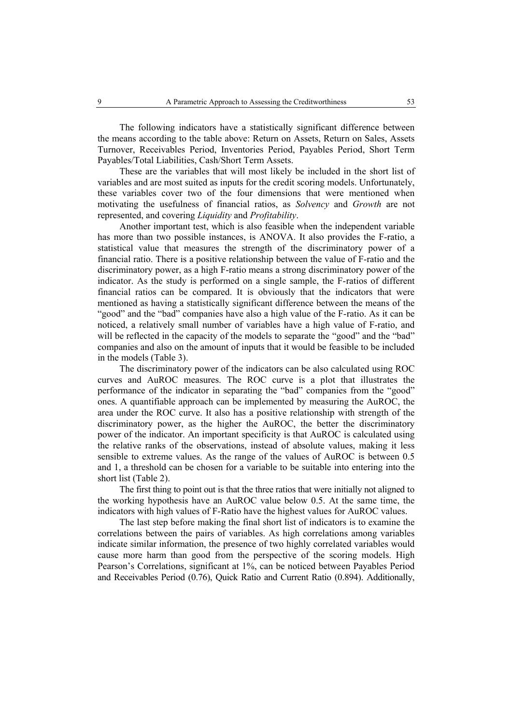The following indicators have a statistically significant difference between the means according to the table above: Return on Assets, Return on Sales, Assets Turnover, Receivables Period, Inventories Period, Payables Period, Short Term Payables/Total Liabilities, Cash/Short Term Assets.

These are the variables that will most likely be included in the short list of variables and are most suited as inputs for the credit scoring models. Unfortunately, these variables cover two of the four dimensions that were mentioned when motivating the usefulness of financial ratios, as *Solvency* and *Growth* are not represented, and covering *Liquidity* and *Profitability*.

Another important test, which is also feasible when the independent variable has more than two possible instances, is ANOVA. It also provides the F-ratio, a statistical value that measures the strength of the discriminatory power of a financial ratio. There is a positive relationship between the value of F-ratio and the discriminatory power, as a high F-ratio means a strong discriminatory power of the indicator. As the study is performed on a single sample, the F-ratios of different financial ratios can be compared. It is obviously that the indicators that were mentioned as having a statistically significant difference between the means of the "good" and the "bad" companies have also a high value of the F-ratio. As it can be noticed, a relatively small number of variables have a high value of F-ratio, and will be reflected in the capacity of the models to separate the "good" and the "bad" companies and also on the amount of inputs that it would be feasible to be included in the models (Table 3).

The discriminatory power of the indicators can be also calculated using ROC curves and AuROC measures. The ROC curve is a plot that illustrates the performance of the indicator in separating the "bad" companies from the "good" ones. A quantifiable approach can be implemented by measuring the AuROC, the area under the ROC curve. It also has a positive relationship with strength of the discriminatory power, as the higher the AuROC, the better the discriminatory power of the indicator. An important specificity is that AuROC is calculated using the relative ranks of the observations, instead of absolute values, making it less sensible to extreme values. As the range of the values of AuROC is between 0.5 and 1, a threshold can be chosen for a variable to be suitable into entering into the short list (Table 2).

The first thing to point out is that the three ratios that were initially not aligned to the working hypothesis have an AuROC value below 0.5. At the same time, the indicators with high values of F-Ratio have the highest values for AuROC values.

The last step before making the final short list of indicators is to examine the correlations between the pairs of variables. As high correlations among variables indicate similar information, the presence of two highly correlated variables would cause more harm than good from the perspective of the scoring models. High Pearson's Correlations, significant at 1%, can be noticed between Payables Period and Receivables Period (0.76), Quick Ratio and Current Ratio (0.894). Additionally,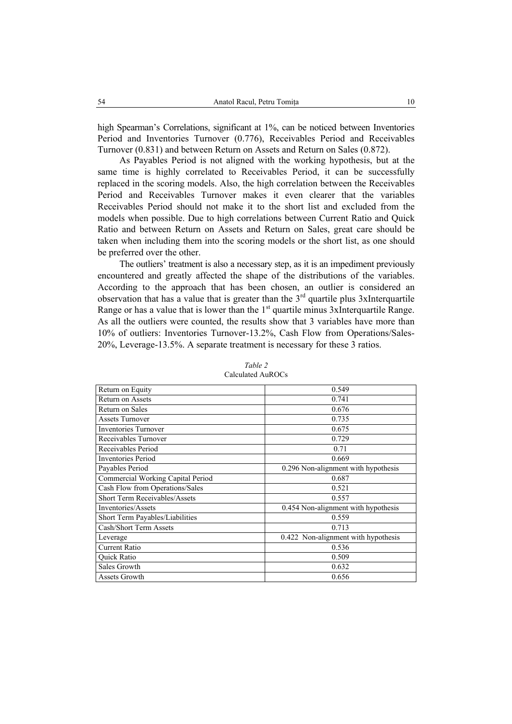high Spearman's Correlations, significant at 1%, can be noticed between Inventories Period and Inventories Turnover (0.776), Receivables Period and Receivables Turnover (0.831) and between Return on Assets and Return on Sales (0.872).

As Payables Period is not aligned with the working hypothesis, but at the same time is highly correlated to Receivables Period, it can be successfully replaced in the scoring models. Also, the high correlation between the Receivables Period and Receivables Turnover makes it even clearer that the variables Receivables Period should not make it to the short list and excluded from the models when possible. Due to high correlations between Current Ratio and Quick Ratio and between Return on Assets and Return on Sales, great care should be taken when including them into the scoring models or the short list, as one should be preferred over the other.

The outliers' treatment is also a necessary step, as it is an impediment previously encountered and greatly affected the shape of the distributions of the variables. According to the approach that has been chosen, an outlier is considered an observation that has a value that is greater than the  $3<sup>rd</sup>$  quartile plus 3xInterquartile Range or has a value that is lower than the  $1<sup>st</sup>$  quartile minus 3xInterquartile Range. As all the outliers were counted, the results show that 3 variables have more than 10% of outliers: Inventories Turnover-13.2%, Cash Flow from Operations/Sales-20%, Leverage-13.5%. A separate treatment is necessary for these 3 ratios.

| Return on Equity                     | 0.549                               |  |  |  |  |
|--------------------------------------|-------------------------------------|--|--|--|--|
| Return on Assets                     | 0.741                               |  |  |  |  |
| Return on Sales                      | 0.676                               |  |  |  |  |
| <b>Assets Turnover</b>               | 0.735                               |  |  |  |  |
| <b>Inventories Turnover</b>          | 0.675                               |  |  |  |  |
| Receivables Turnover                 | 0.729                               |  |  |  |  |
| Receivables Period                   | 0.71                                |  |  |  |  |
| <b>Inventories Period</b>            | 0.669                               |  |  |  |  |
| Payables Period                      | 0.296 Non-alignment with hypothesis |  |  |  |  |
| Commercial Working Capital Period    | 0.687                               |  |  |  |  |
| Cash Flow from Operations/Sales      | 0.521                               |  |  |  |  |
| <b>Short Term Receivables/Assets</b> | 0.557                               |  |  |  |  |
| Inventories/Assets                   | 0.454 Non-alignment with hypothesis |  |  |  |  |
| Short Term Payables/Liabilities      | 0.559                               |  |  |  |  |
| <b>Cash/Short Term Assets</b>        | 0.713                               |  |  |  |  |
| Leverage                             | 0.422 Non-alignment with hypothesis |  |  |  |  |
| <b>Current Ratio</b>                 | 0.536                               |  |  |  |  |
| Quick Ratio                          | 0.509                               |  |  |  |  |
| Sales Growth                         | 0.632                               |  |  |  |  |
| Assets Growth                        | 0.656                               |  |  |  |  |

*Table 2*  Calculated AuROCs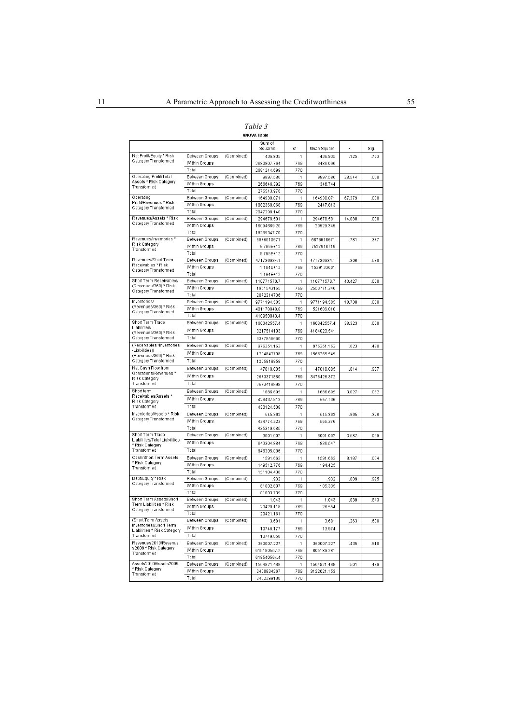| ani |  |
|-----|--|
|-----|--|

| Net Profit/Equity * Risk<br>Between Groups<br>.125<br>(Combined)<br>436.935<br>1<br>436.935<br>723<br>Category Transformed<br>Within Groups<br>2680807.764<br>769<br>3486.096<br>Total<br>2681244.699<br>770<br>Operating Profit/Total<br>Between Groups<br>(Combined)<br>9897.586<br>1<br>9897.586<br>28.544<br>000<br>Assets * Risk Category<br>Within Groups<br>769<br>266646.392<br>346.744<br>Transformed<br>Total<br>770<br>276543978<br>Operating<br>Between Groups<br>(Combined)<br>164930.071<br>164930.071<br>1<br>67.379<br>000<br>Profit/Revenues * Risk<br>Within Groups<br>769<br>1882368.068<br>2447.813<br>Category Transformed<br>Total<br>770<br>2047298.140<br>Revenues/Assets * Risk<br>Between Groups<br>(Combined)<br>294678.501<br>1<br>294678.501<br>14.080<br>000<br>Category Transformed<br>Within Groups<br>769<br>16094669.20<br>20929.349<br>Total<br>770<br>16389347.70<br>Revenues/Inventories *<br>Between Groups<br>(Combined)<br>5876910671<br>5876910671<br>1<br>781<br>377<br>Risk Category<br>Within Groups<br>769<br>5.789E+12<br>7527910719<br>Transformed<br>Total<br>770<br>5.795E+12<br>Revenues/Short Term<br>Between Groups<br>(Combined)<br>471736934.1<br>1<br>471736934.1<br>306<br>.580<br>Receivables * Risk<br>Within Groups<br>769<br>1.184E+12<br>1539133601<br>Category Transformed<br>Total<br>770<br>1.184E+12<br>Short Term Receivables/<br>Between Groups<br>(Combined)<br>110771570.7<br>1<br>110771570.7<br>43.427<br>000<br>(Revenues/360) * Risk<br>Within Groups<br>769<br>1961543165<br>2550771.346<br>Category Transformed<br>Total<br>770<br>2072314736<br>Inventories/<br>Between Groups<br>(Combined)<br>9771194.585<br>1<br>9771194.585<br>18.730<br>000<br>(Revenues/360) * Risk<br>Within Groups<br>769<br>401178848.8<br>521689.010<br>Category Transformed<br>Total<br>770<br>410950043.4<br>Short Term Trade<br>Between Groups<br>(Combined)<br>1<br>160342557.4<br>.000<br>1603425574<br>38 323<br>Liabilities/<br>Within Groups<br>4184023.541<br>3217514103<br>769<br>(Revenues/360) * Risk<br>Category Transformed<br>Total<br>3377856660<br>770<br>(Receivables+Inventories<br>Between Groups<br>(Combined)<br>976251.162<br>1<br>976251.162<br>623<br>430<br>-Liabilities)/<br>Within Groups<br>1204842708<br>769<br>1566765.549<br>(Revenues/360) * Risk<br>Total<br>Category Transformed<br>770<br>1205818959<br>Net Cash Flow from<br>Between Groups<br>(Combined)<br>47018.805<br>47018.805<br>014<br>907<br>1<br>Operations/Revenues *<br>Within Groups<br>769<br>2673371880<br>3476426.372<br>Risk Category<br>Transformed<br>Total<br>2673418899<br>770<br>Short term<br>Between Groups<br>(Combined)<br>1686.695<br>1686.695<br>3.027<br>082<br>1<br>Receivables/Assets *<br>Within Groups<br>428437.813<br>769<br>557.136<br>Risk Categon<br>Total<br>Transformed<br>430124.508<br>770<br>Inventories/Assets * Risk<br>Between Groups<br>(Combined)<br>545.362<br>545.362<br>965<br>326<br>1<br>Category Transformed<br>Within Groups<br>434774.323<br>769<br>565.376<br>Total<br>770<br>435319.685<br>Short Term Trade<br>Between Groups<br>(Combined)<br>3001.002<br>3001.002<br>059<br>1<br>3.587<br>Liabilities/Total Liabilities<br>Within Groups<br>836.547<br>643304.884<br>769<br>* Risk Category<br>Transformed<br>Total<br>646305.886<br>770<br>Cash/Short Term Assets<br>Between Groups<br>(Combined)<br>004<br>1591.662<br>1591.662<br>8.187<br>* Risk Category<br>Within Groups<br>149512.776<br>769<br>194.425<br>Transformed<br>Total<br>151104.438<br>770<br>Debt/Equity * Risk<br>Between Groups<br>(Combined)<br>1<br>932<br>009<br>925<br>.932<br>Category Transformed<br>Within Groups<br>81002.807<br>769<br>105.335<br>Total<br>81003.739<br>770<br>Short Term Assets/Short<br>Between Groups<br>(Combined)<br>1.043<br>843<br>1.043<br>039<br>1<br>Term Liabilities * Risk<br>Within Groups<br>20420.118<br>769<br>26.554<br>Category Transformed<br>Total<br>20421.161<br>770<br>(Short Term Assets-<br>Between Groups<br>(Combined)<br>3.681<br>3.681<br>263<br>608<br>1<br>Inventories)/Short Term<br>Within Groups<br>10746.177<br>769<br>13.974<br>Liabilities * Risk Category<br>Transformed<br>Total<br>10749.858<br>770<br>Revenues2010/Revenue<br>Between Groups<br>(Combined)<br>350007.227<br>1<br>350007.227<br>435<br>510<br>s2009 * Risk Category<br>Within Groups<br>619190557.2<br>769<br>805189.281<br>Transformed<br>Total<br>619540564.4<br>770<br>Assets2010/Assets2009<br>(Combined)<br>Between Groups<br>501<br>479<br>1564921.488<br>1<br>1564921.488<br>* Risk Categorv<br>Within Groups<br>2400834267<br>769<br>3122021.153<br>Transformed<br>Total<br>2402399188<br>770 |  | Sum of<br>Squares | df | Mean Square | F | Sig. |
|------------------------------------------------------------------------------------------------------------------------------------------------------------------------------------------------------------------------------------------------------------------------------------------------------------------------------------------------------------------------------------------------------------------------------------------------------------------------------------------------------------------------------------------------------------------------------------------------------------------------------------------------------------------------------------------------------------------------------------------------------------------------------------------------------------------------------------------------------------------------------------------------------------------------------------------------------------------------------------------------------------------------------------------------------------------------------------------------------------------------------------------------------------------------------------------------------------------------------------------------------------------------------------------------------------------------------------------------------------------------------------------------------------------------------------------------------------------------------------------------------------------------------------------------------------------------------------------------------------------------------------------------------------------------------------------------------------------------------------------------------------------------------------------------------------------------------------------------------------------------------------------------------------------------------------------------------------------------------------------------------------------------------------------------------------------------------------------------------------------------------------------------------------------------------------------------------------------------------------------------------------------------------------------------------------------------------------------------------------------------------------------------------------------------------------------------------------------------------------------------------------------------------------------------------------------------------------------------------------------------------------------------------------------------------------------------------------------------------------------------------------------------------------------------------------------------------------------------------------------------------------------------------------------------------------------------------------------------------------------------------------------------------------------------------------------------------------------------------------------------------------------------------------------------------------------------------------------------------------------------------------------------------------------------------------------------------------------------------------------------------------------------------------------------------------------------------------------------------------------------------------------------------------------------------------------------------------------------------------------------------------------------------------------------------------------------------------------------------------------------------------------------------------------------------------------------------------------------------------------------------------------------------------------------------------------------------------------------------------------------------------------------------------------------------------------------------------------------------------------------------------------------------------------------------------------------------------------------------------------------------------------------------------------------------------------------------------------------------------------------------------------------------------------------------------------------------------------------------------------------------------------------------------------------------------------------------------------------------------------------------------------------------------------------------------------------------------------|--|-------------------|----|-------------|---|------|
|                                                                                                                                                                                                                                                                                                                                                                                                                                                                                                                                                                                                                                                                                                                                                                                                                                                                                                                                                                                                                                                                                                                                                                                                                                                                                                                                                                                                                                                                                                                                                                                                                                                                                                                                                                                                                                                                                                                                                                                                                                                                                                                                                                                                                                                                                                                                                                                                                                                                                                                                                                                                                                                                                                                                                                                                                                                                                                                                                                                                                                                                                                                                                                                                                                                                                                                                                                                                                                                                                                                                                                                                                                                                                                                                                                                                                                                                                                                                                                                                                                                                                                                                                                                                                                                                                                                                                                                                                                                                                                                                                                                                                                                                                                                  |  |                   |    |             |   |      |
|                                                                                                                                                                                                                                                                                                                                                                                                                                                                                                                                                                                                                                                                                                                                                                                                                                                                                                                                                                                                                                                                                                                                                                                                                                                                                                                                                                                                                                                                                                                                                                                                                                                                                                                                                                                                                                                                                                                                                                                                                                                                                                                                                                                                                                                                                                                                                                                                                                                                                                                                                                                                                                                                                                                                                                                                                                                                                                                                                                                                                                                                                                                                                                                                                                                                                                                                                                                                                                                                                                                                                                                                                                                                                                                                                                                                                                                                                                                                                                                                                                                                                                                                                                                                                                                                                                                                                                                                                                                                                                                                                                                                                                                                                                                  |  |                   |    |             |   |      |
|                                                                                                                                                                                                                                                                                                                                                                                                                                                                                                                                                                                                                                                                                                                                                                                                                                                                                                                                                                                                                                                                                                                                                                                                                                                                                                                                                                                                                                                                                                                                                                                                                                                                                                                                                                                                                                                                                                                                                                                                                                                                                                                                                                                                                                                                                                                                                                                                                                                                                                                                                                                                                                                                                                                                                                                                                                                                                                                                                                                                                                                                                                                                                                                                                                                                                                                                                                                                                                                                                                                                                                                                                                                                                                                                                                                                                                                                                                                                                                                                                                                                                                                                                                                                                                                                                                                                                                                                                                                                                                                                                                                                                                                                                                                  |  |                   |    |             |   |      |
|                                                                                                                                                                                                                                                                                                                                                                                                                                                                                                                                                                                                                                                                                                                                                                                                                                                                                                                                                                                                                                                                                                                                                                                                                                                                                                                                                                                                                                                                                                                                                                                                                                                                                                                                                                                                                                                                                                                                                                                                                                                                                                                                                                                                                                                                                                                                                                                                                                                                                                                                                                                                                                                                                                                                                                                                                                                                                                                                                                                                                                                                                                                                                                                                                                                                                                                                                                                                                                                                                                                                                                                                                                                                                                                                                                                                                                                                                                                                                                                                                                                                                                                                                                                                                                                                                                                                                                                                                                                                                                                                                                                                                                                                                                                  |  |                   |    |             |   |      |
|                                                                                                                                                                                                                                                                                                                                                                                                                                                                                                                                                                                                                                                                                                                                                                                                                                                                                                                                                                                                                                                                                                                                                                                                                                                                                                                                                                                                                                                                                                                                                                                                                                                                                                                                                                                                                                                                                                                                                                                                                                                                                                                                                                                                                                                                                                                                                                                                                                                                                                                                                                                                                                                                                                                                                                                                                                                                                                                                                                                                                                                                                                                                                                                                                                                                                                                                                                                                                                                                                                                                                                                                                                                                                                                                                                                                                                                                                                                                                                                                                                                                                                                                                                                                                                                                                                                                                                                                                                                                                                                                                                                                                                                                                                                  |  |                   |    |             |   |      |
|                                                                                                                                                                                                                                                                                                                                                                                                                                                                                                                                                                                                                                                                                                                                                                                                                                                                                                                                                                                                                                                                                                                                                                                                                                                                                                                                                                                                                                                                                                                                                                                                                                                                                                                                                                                                                                                                                                                                                                                                                                                                                                                                                                                                                                                                                                                                                                                                                                                                                                                                                                                                                                                                                                                                                                                                                                                                                                                                                                                                                                                                                                                                                                                                                                                                                                                                                                                                                                                                                                                                                                                                                                                                                                                                                                                                                                                                                                                                                                                                                                                                                                                                                                                                                                                                                                                                                                                                                                                                                                                                                                                                                                                                                                                  |  |                   |    |             |   |      |
|                                                                                                                                                                                                                                                                                                                                                                                                                                                                                                                                                                                                                                                                                                                                                                                                                                                                                                                                                                                                                                                                                                                                                                                                                                                                                                                                                                                                                                                                                                                                                                                                                                                                                                                                                                                                                                                                                                                                                                                                                                                                                                                                                                                                                                                                                                                                                                                                                                                                                                                                                                                                                                                                                                                                                                                                                                                                                                                                                                                                                                                                                                                                                                                                                                                                                                                                                                                                                                                                                                                                                                                                                                                                                                                                                                                                                                                                                                                                                                                                                                                                                                                                                                                                                                                                                                                                                                                                                                                                                                                                                                                                                                                                                                                  |  |                   |    |             |   |      |
|                                                                                                                                                                                                                                                                                                                                                                                                                                                                                                                                                                                                                                                                                                                                                                                                                                                                                                                                                                                                                                                                                                                                                                                                                                                                                                                                                                                                                                                                                                                                                                                                                                                                                                                                                                                                                                                                                                                                                                                                                                                                                                                                                                                                                                                                                                                                                                                                                                                                                                                                                                                                                                                                                                                                                                                                                                                                                                                                                                                                                                                                                                                                                                                                                                                                                                                                                                                                                                                                                                                                                                                                                                                                                                                                                                                                                                                                                                                                                                                                                                                                                                                                                                                                                                                                                                                                                                                                                                                                                                                                                                                                                                                                                                                  |  |                   |    |             |   |      |
|                                                                                                                                                                                                                                                                                                                                                                                                                                                                                                                                                                                                                                                                                                                                                                                                                                                                                                                                                                                                                                                                                                                                                                                                                                                                                                                                                                                                                                                                                                                                                                                                                                                                                                                                                                                                                                                                                                                                                                                                                                                                                                                                                                                                                                                                                                                                                                                                                                                                                                                                                                                                                                                                                                                                                                                                                                                                                                                                                                                                                                                                                                                                                                                                                                                                                                                                                                                                                                                                                                                                                                                                                                                                                                                                                                                                                                                                                                                                                                                                                                                                                                                                                                                                                                                                                                                                                                                                                                                                                                                                                                                                                                                                                                                  |  |                   |    |             |   |      |
|                                                                                                                                                                                                                                                                                                                                                                                                                                                                                                                                                                                                                                                                                                                                                                                                                                                                                                                                                                                                                                                                                                                                                                                                                                                                                                                                                                                                                                                                                                                                                                                                                                                                                                                                                                                                                                                                                                                                                                                                                                                                                                                                                                                                                                                                                                                                                                                                                                                                                                                                                                                                                                                                                                                                                                                                                                                                                                                                                                                                                                                                                                                                                                                                                                                                                                                                                                                                                                                                                                                                                                                                                                                                                                                                                                                                                                                                                                                                                                                                                                                                                                                                                                                                                                                                                                                                                                                                                                                                                                                                                                                                                                                                                                                  |  |                   |    |             |   |      |
|                                                                                                                                                                                                                                                                                                                                                                                                                                                                                                                                                                                                                                                                                                                                                                                                                                                                                                                                                                                                                                                                                                                                                                                                                                                                                                                                                                                                                                                                                                                                                                                                                                                                                                                                                                                                                                                                                                                                                                                                                                                                                                                                                                                                                                                                                                                                                                                                                                                                                                                                                                                                                                                                                                                                                                                                                                                                                                                                                                                                                                                                                                                                                                                                                                                                                                                                                                                                                                                                                                                                                                                                                                                                                                                                                                                                                                                                                                                                                                                                                                                                                                                                                                                                                                                                                                                                                                                                                                                                                                                                                                                                                                                                                                                  |  |                   |    |             |   |      |
|                                                                                                                                                                                                                                                                                                                                                                                                                                                                                                                                                                                                                                                                                                                                                                                                                                                                                                                                                                                                                                                                                                                                                                                                                                                                                                                                                                                                                                                                                                                                                                                                                                                                                                                                                                                                                                                                                                                                                                                                                                                                                                                                                                                                                                                                                                                                                                                                                                                                                                                                                                                                                                                                                                                                                                                                                                                                                                                                                                                                                                                                                                                                                                                                                                                                                                                                                                                                                                                                                                                                                                                                                                                                                                                                                                                                                                                                                                                                                                                                                                                                                                                                                                                                                                                                                                                                                                                                                                                                                                                                                                                                                                                                                                                  |  |                   |    |             |   |      |
|                                                                                                                                                                                                                                                                                                                                                                                                                                                                                                                                                                                                                                                                                                                                                                                                                                                                                                                                                                                                                                                                                                                                                                                                                                                                                                                                                                                                                                                                                                                                                                                                                                                                                                                                                                                                                                                                                                                                                                                                                                                                                                                                                                                                                                                                                                                                                                                                                                                                                                                                                                                                                                                                                                                                                                                                                                                                                                                                                                                                                                                                                                                                                                                                                                                                                                                                                                                                                                                                                                                                                                                                                                                                                                                                                                                                                                                                                                                                                                                                                                                                                                                                                                                                                                                                                                                                                                                                                                                                                                                                                                                                                                                                                                                  |  |                   |    |             |   |      |
|                                                                                                                                                                                                                                                                                                                                                                                                                                                                                                                                                                                                                                                                                                                                                                                                                                                                                                                                                                                                                                                                                                                                                                                                                                                                                                                                                                                                                                                                                                                                                                                                                                                                                                                                                                                                                                                                                                                                                                                                                                                                                                                                                                                                                                                                                                                                                                                                                                                                                                                                                                                                                                                                                                                                                                                                                                                                                                                                                                                                                                                                                                                                                                                                                                                                                                                                                                                                                                                                                                                                                                                                                                                                                                                                                                                                                                                                                                                                                                                                                                                                                                                                                                                                                                                                                                                                                                                                                                                                                                                                                                                                                                                                                                                  |  |                   |    |             |   |      |
|                                                                                                                                                                                                                                                                                                                                                                                                                                                                                                                                                                                                                                                                                                                                                                                                                                                                                                                                                                                                                                                                                                                                                                                                                                                                                                                                                                                                                                                                                                                                                                                                                                                                                                                                                                                                                                                                                                                                                                                                                                                                                                                                                                                                                                                                                                                                                                                                                                                                                                                                                                                                                                                                                                                                                                                                                                                                                                                                                                                                                                                                                                                                                                                                                                                                                                                                                                                                                                                                                                                                                                                                                                                                                                                                                                                                                                                                                                                                                                                                                                                                                                                                                                                                                                                                                                                                                                                                                                                                                                                                                                                                                                                                                                                  |  |                   |    |             |   |      |
|                                                                                                                                                                                                                                                                                                                                                                                                                                                                                                                                                                                                                                                                                                                                                                                                                                                                                                                                                                                                                                                                                                                                                                                                                                                                                                                                                                                                                                                                                                                                                                                                                                                                                                                                                                                                                                                                                                                                                                                                                                                                                                                                                                                                                                                                                                                                                                                                                                                                                                                                                                                                                                                                                                                                                                                                                                                                                                                                                                                                                                                                                                                                                                                                                                                                                                                                                                                                                                                                                                                                                                                                                                                                                                                                                                                                                                                                                                                                                                                                                                                                                                                                                                                                                                                                                                                                                                                                                                                                                                                                                                                                                                                                                                                  |  |                   |    |             |   |      |
|                                                                                                                                                                                                                                                                                                                                                                                                                                                                                                                                                                                                                                                                                                                                                                                                                                                                                                                                                                                                                                                                                                                                                                                                                                                                                                                                                                                                                                                                                                                                                                                                                                                                                                                                                                                                                                                                                                                                                                                                                                                                                                                                                                                                                                                                                                                                                                                                                                                                                                                                                                                                                                                                                                                                                                                                                                                                                                                                                                                                                                                                                                                                                                                                                                                                                                                                                                                                                                                                                                                                                                                                                                                                                                                                                                                                                                                                                                                                                                                                                                                                                                                                                                                                                                                                                                                                                                                                                                                                                                                                                                                                                                                                                                                  |  |                   |    |             |   |      |
|                                                                                                                                                                                                                                                                                                                                                                                                                                                                                                                                                                                                                                                                                                                                                                                                                                                                                                                                                                                                                                                                                                                                                                                                                                                                                                                                                                                                                                                                                                                                                                                                                                                                                                                                                                                                                                                                                                                                                                                                                                                                                                                                                                                                                                                                                                                                                                                                                                                                                                                                                                                                                                                                                                                                                                                                                                                                                                                                                                                                                                                                                                                                                                                                                                                                                                                                                                                                                                                                                                                                                                                                                                                                                                                                                                                                                                                                                                                                                                                                                                                                                                                                                                                                                                                                                                                                                                                                                                                                                                                                                                                                                                                                                                                  |  |                   |    |             |   |      |
|                                                                                                                                                                                                                                                                                                                                                                                                                                                                                                                                                                                                                                                                                                                                                                                                                                                                                                                                                                                                                                                                                                                                                                                                                                                                                                                                                                                                                                                                                                                                                                                                                                                                                                                                                                                                                                                                                                                                                                                                                                                                                                                                                                                                                                                                                                                                                                                                                                                                                                                                                                                                                                                                                                                                                                                                                                                                                                                                                                                                                                                                                                                                                                                                                                                                                                                                                                                                                                                                                                                                                                                                                                                                                                                                                                                                                                                                                                                                                                                                                                                                                                                                                                                                                                                                                                                                                                                                                                                                                                                                                                                                                                                                                                                  |  |                   |    |             |   |      |
|                                                                                                                                                                                                                                                                                                                                                                                                                                                                                                                                                                                                                                                                                                                                                                                                                                                                                                                                                                                                                                                                                                                                                                                                                                                                                                                                                                                                                                                                                                                                                                                                                                                                                                                                                                                                                                                                                                                                                                                                                                                                                                                                                                                                                                                                                                                                                                                                                                                                                                                                                                                                                                                                                                                                                                                                                                                                                                                                                                                                                                                                                                                                                                                                                                                                                                                                                                                                                                                                                                                                                                                                                                                                                                                                                                                                                                                                                                                                                                                                                                                                                                                                                                                                                                                                                                                                                                                                                                                                                                                                                                                                                                                                                                                  |  |                   |    |             |   |      |
|                                                                                                                                                                                                                                                                                                                                                                                                                                                                                                                                                                                                                                                                                                                                                                                                                                                                                                                                                                                                                                                                                                                                                                                                                                                                                                                                                                                                                                                                                                                                                                                                                                                                                                                                                                                                                                                                                                                                                                                                                                                                                                                                                                                                                                                                                                                                                                                                                                                                                                                                                                                                                                                                                                                                                                                                                                                                                                                                                                                                                                                                                                                                                                                                                                                                                                                                                                                                                                                                                                                                                                                                                                                                                                                                                                                                                                                                                                                                                                                                                                                                                                                                                                                                                                                                                                                                                                                                                                                                                                                                                                                                                                                                                                                  |  |                   |    |             |   |      |
|                                                                                                                                                                                                                                                                                                                                                                                                                                                                                                                                                                                                                                                                                                                                                                                                                                                                                                                                                                                                                                                                                                                                                                                                                                                                                                                                                                                                                                                                                                                                                                                                                                                                                                                                                                                                                                                                                                                                                                                                                                                                                                                                                                                                                                                                                                                                                                                                                                                                                                                                                                                                                                                                                                                                                                                                                                                                                                                                                                                                                                                                                                                                                                                                                                                                                                                                                                                                                                                                                                                                                                                                                                                                                                                                                                                                                                                                                                                                                                                                                                                                                                                                                                                                                                                                                                                                                                                                                                                                                                                                                                                                                                                                                                                  |  |                   |    |             |   |      |
|                                                                                                                                                                                                                                                                                                                                                                                                                                                                                                                                                                                                                                                                                                                                                                                                                                                                                                                                                                                                                                                                                                                                                                                                                                                                                                                                                                                                                                                                                                                                                                                                                                                                                                                                                                                                                                                                                                                                                                                                                                                                                                                                                                                                                                                                                                                                                                                                                                                                                                                                                                                                                                                                                                                                                                                                                                                                                                                                                                                                                                                                                                                                                                                                                                                                                                                                                                                                                                                                                                                                                                                                                                                                                                                                                                                                                                                                                                                                                                                                                                                                                                                                                                                                                                                                                                                                                                                                                                                                                                                                                                                                                                                                                                                  |  |                   |    |             |   |      |
|                                                                                                                                                                                                                                                                                                                                                                                                                                                                                                                                                                                                                                                                                                                                                                                                                                                                                                                                                                                                                                                                                                                                                                                                                                                                                                                                                                                                                                                                                                                                                                                                                                                                                                                                                                                                                                                                                                                                                                                                                                                                                                                                                                                                                                                                                                                                                                                                                                                                                                                                                                                                                                                                                                                                                                                                                                                                                                                                                                                                                                                                                                                                                                                                                                                                                                                                                                                                                                                                                                                                                                                                                                                                                                                                                                                                                                                                                                                                                                                                                                                                                                                                                                                                                                                                                                                                                                                                                                                                                                                                                                                                                                                                                                                  |  |                   |    |             |   |      |
|                                                                                                                                                                                                                                                                                                                                                                                                                                                                                                                                                                                                                                                                                                                                                                                                                                                                                                                                                                                                                                                                                                                                                                                                                                                                                                                                                                                                                                                                                                                                                                                                                                                                                                                                                                                                                                                                                                                                                                                                                                                                                                                                                                                                                                                                                                                                                                                                                                                                                                                                                                                                                                                                                                                                                                                                                                                                                                                                                                                                                                                                                                                                                                                                                                                                                                                                                                                                                                                                                                                                                                                                                                                                                                                                                                                                                                                                                                                                                                                                                                                                                                                                                                                                                                                                                                                                                                                                                                                                                                                                                                                                                                                                                                                  |  |                   |    |             |   |      |
|                                                                                                                                                                                                                                                                                                                                                                                                                                                                                                                                                                                                                                                                                                                                                                                                                                                                                                                                                                                                                                                                                                                                                                                                                                                                                                                                                                                                                                                                                                                                                                                                                                                                                                                                                                                                                                                                                                                                                                                                                                                                                                                                                                                                                                                                                                                                                                                                                                                                                                                                                                                                                                                                                                                                                                                                                                                                                                                                                                                                                                                                                                                                                                                                                                                                                                                                                                                                                                                                                                                                                                                                                                                                                                                                                                                                                                                                                                                                                                                                                                                                                                                                                                                                                                                                                                                                                                                                                                                                                                                                                                                                                                                                                                                  |  |                   |    |             |   |      |
|                                                                                                                                                                                                                                                                                                                                                                                                                                                                                                                                                                                                                                                                                                                                                                                                                                                                                                                                                                                                                                                                                                                                                                                                                                                                                                                                                                                                                                                                                                                                                                                                                                                                                                                                                                                                                                                                                                                                                                                                                                                                                                                                                                                                                                                                                                                                                                                                                                                                                                                                                                                                                                                                                                                                                                                                                                                                                                                                                                                                                                                                                                                                                                                                                                                                                                                                                                                                                                                                                                                                                                                                                                                                                                                                                                                                                                                                                                                                                                                                                                                                                                                                                                                                                                                                                                                                                                                                                                                                                                                                                                                                                                                                                                                  |  |                   |    |             |   |      |
|                                                                                                                                                                                                                                                                                                                                                                                                                                                                                                                                                                                                                                                                                                                                                                                                                                                                                                                                                                                                                                                                                                                                                                                                                                                                                                                                                                                                                                                                                                                                                                                                                                                                                                                                                                                                                                                                                                                                                                                                                                                                                                                                                                                                                                                                                                                                                                                                                                                                                                                                                                                                                                                                                                                                                                                                                                                                                                                                                                                                                                                                                                                                                                                                                                                                                                                                                                                                                                                                                                                                                                                                                                                                                                                                                                                                                                                                                                                                                                                                                                                                                                                                                                                                                                                                                                                                                                                                                                                                                                                                                                                                                                                                                                                  |  |                   |    |             |   |      |
|                                                                                                                                                                                                                                                                                                                                                                                                                                                                                                                                                                                                                                                                                                                                                                                                                                                                                                                                                                                                                                                                                                                                                                                                                                                                                                                                                                                                                                                                                                                                                                                                                                                                                                                                                                                                                                                                                                                                                                                                                                                                                                                                                                                                                                                                                                                                                                                                                                                                                                                                                                                                                                                                                                                                                                                                                                                                                                                                                                                                                                                                                                                                                                                                                                                                                                                                                                                                                                                                                                                                                                                                                                                                                                                                                                                                                                                                                                                                                                                                                                                                                                                                                                                                                                                                                                                                                                                                                                                                                                                                                                                                                                                                                                                  |  |                   |    |             |   |      |
|                                                                                                                                                                                                                                                                                                                                                                                                                                                                                                                                                                                                                                                                                                                                                                                                                                                                                                                                                                                                                                                                                                                                                                                                                                                                                                                                                                                                                                                                                                                                                                                                                                                                                                                                                                                                                                                                                                                                                                                                                                                                                                                                                                                                                                                                                                                                                                                                                                                                                                                                                                                                                                                                                                                                                                                                                                                                                                                                                                                                                                                                                                                                                                                                                                                                                                                                                                                                                                                                                                                                                                                                                                                                                                                                                                                                                                                                                                                                                                                                                                                                                                                                                                                                                                                                                                                                                                                                                                                                                                                                                                                                                                                                                                                  |  |                   |    |             |   |      |
|                                                                                                                                                                                                                                                                                                                                                                                                                                                                                                                                                                                                                                                                                                                                                                                                                                                                                                                                                                                                                                                                                                                                                                                                                                                                                                                                                                                                                                                                                                                                                                                                                                                                                                                                                                                                                                                                                                                                                                                                                                                                                                                                                                                                                                                                                                                                                                                                                                                                                                                                                                                                                                                                                                                                                                                                                                                                                                                                                                                                                                                                                                                                                                                                                                                                                                                                                                                                                                                                                                                                                                                                                                                                                                                                                                                                                                                                                                                                                                                                                                                                                                                                                                                                                                                                                                                                                                                                                                                                                                                                                                                                                                                                                                                  |  |                   |    |             |   |      |
|                                                                                                                                                                                                                                                                                                                                                                                                                                                                                                                                                                                                                                                                                                                                                                                                                                                                                                                                                                                                                                                                                                                                                                                                                                                                                                                                                                                                                                                                                                                                                                                                                                                                                                                                                                                                                                                                                                                                                                                                                                                                                                                                                                                                                                                                                                                                                                                                                                                                                                                                                                                                                                                                                                                                                                                                                                                                                                                                                                                                                                                                                                                                                                                                                                                                                                                                                                                                                                                                                                                                                                                                                                                                                                                                                                                                                                                                                                                                                                                                                                                                                                                                                                                                                                                                                                                                                                                                                                                                                                                                                                                                                                                                                                                  |  |                   |    |             |   |      |
|                                                                                                                                                                                                                                                                                                                                                                                                                                                                                                                                                                                                                                                                                                                                                                                                                                                                                                                                                                                                                                                                                                                                                                                                                                                                                                                                                                                                                                                                                                                                                                                                                                                                                                                                                                                                                                                                                                                                                                                                                                                                                                                                                                                                                                                                                                                                                                                                                                                                                                                                                                                                                                                                                                                                                                                                                                                                                                                                                                                                                                                                                                                                                                                                                                                                                                                                                                                                                                                                                                                                                                                                                                                                                                                                                                                                                                                                                                                                                                                                                                                                                                                                                                                                                                                                                                                                                                                                                                                                                                                                                                                                                                                                                                                  |  |                   |    |             |   |      |
|                                                                                                                                                                                                                                                                                                                                                                                                                                                                                                                                                                                                                                                                                                                                                                                                                                                                                                                                                                                                                                                                                                                                                                                                                                                                                                                                                                                                                                                                                                                                                                                                                                                                                                                                                                                                                                                                                                                                                                                                                                                                                                                                                                                                                                                                                                                                                                                                                                                                                                                                                                                                                                                                                                                                                                                                                                                                                                                                                                                                                                                                                                                                                                                                                                                                                                                                                                                                                                                                                                                                                                                                                                                                                                                                                                                                                                                                                                                                                                                                                                                                                                                                                                                                                                                                                                                                                                                                                                                                                                                                                                                                                                                                                                                  |  |                   |    |             |   |      |
|                                                                                                                                                                                                                                                                                                                                                                                                                                                                                                                                                                                                                                                                                                                                                                                                                                                                                                                                                                                                                                                                                                                                                                                                                                                                                                                                                                                                                                                                                                                                                                                                                                                                                                                                                                                                                                                                                                                                                                                                                                                                                                                                                                                                                                                                                                                                                                                                                                                                                                                                                                                                                                                                                                                                                                                                                                                                                                                                                                                                                                                                                                                                                                                                                                                                                                                                                                                                                                                                                                                                                                                                                                                                                                                                                                                                                                                                                                                                                                                                                                                                                                                                                                                                                                                                                                                                                                                                                                                                                                                                                                                                                                                                                                                  |  |                   |    |             |   |      |
|                                                                                                                                                                                                                                                                                                                                                                                                                                                                                                                                                                                                                                                                                                                                                                                                                                                                                                                                                                                                                                                                                                                                                                                                                                                                                                                                                                                                                                                                                                                                                                                                                                                                                                                                                                                                                                                                                                                                                                                                                                                                                                                                                                                                                                                                                                                                                                                                                                                                                                                                                                                                                                                                                                                                                                                                                                                                                                                                                                                                                                                                                                                                                                                                                                                                                                                                                                                                                                                                                                                                                                                                                                                                                                                                                                                                                                                                                                                                                                                                                                                                                                                                                                                                                                                                                                                                                                                                                                                                                                                                                                                                                                                                                                                  |  |                   |    |             |   |      |
|                                                                                                                                                                                                                                                                                                                                                                                                                                                                                                                                                                                                                                                                                                                                                                                                                                                                                                                                                                                                                                                                                                                                                                                                                                                                                                                                                                                                                                                                                                                                                                                                                                                                                                                                                                                                                                                                                                                                                                                                                                                                                                                                                                                                                                                                                                                                                                                                                                                                                                                                                                                                                                                                                                                                                                                                                                                                                                                                                                                                                                                                                                                                                                                                                                                                                                                                                                                                                                                                                                                                                                                                                                                                                                                                                                                                                                                                                                                                                                                                                                                                                                                                                                                                                                                                                                                                                                                                                                                                                                                                                                                                                                                                                                                  |  |                   |    |             |   |      |
|                                                                                                                                                                                                                                                                                                                                                                                                                                                                                                                                                                                                                                                                                                                                                                                                                                                                                                                                                                                                                                                                                                                                                                                                                                                                                                                                                                                                                                                                                                                                                                                                                                                                                                                                                                                                                                                                                                                                                                                                                                                                                                                                                                                                                                                                                                                                                                                                                                                                                                                                                                                                                                                                                                                                                                                                                                                                                                                                                                                                                                                                                                                                                                                                                                                                                                                                                                                                                                                                                                                                                                                                                                                                                                                                                                                                                                                                                                                                                                                                                                                                                                                                                                                                                                                                                                                                                                                                                                                                                                                                                                                                                                                                                                                  |  |                   |    |             |   |      |
|                                                                                                                                                                                                                                                                                                                                                                                                                                                                                                                                                                                                                                                                                                                                                                                                                                                                                                                                                                                                                                                                                                                                                                                                                                                                                                                                                                                                                                                                                                                                                                                                                                                                                                                                                                                                                                                                                                                                                                                                                                                                                                                                                                                                                                                                                                                                                                                                                                                                                                                                                                                                                                                                                                                                                                                                                                                                                                                                                                                                                                                                                                                                                                                                                                                                                                                                                                                                                                                                                                                                                                                                                                                                                                                                                                                                                                                                                                                                                                                                                                                                                                                                                                                                                                                                                                                                                                                                                                                                                                                                                                                                                                                                                                                  |  |                   |    |             |   |      |
|                                                                                                                                                                                                                                                                                                                                                                                                                                                                                                                                                                                                                                                                                                                                                                                                                                                                                                                                                                                                                                                                                                                                                                                                                                                                                                                                                                                                                                                                                                                                                                                                                                                                                                                                                                                                                                                                                                                                                                                                                                                                                                                                                                                                                                                                                                                                                                                                                                                                                                                                                                                                                                                                                                                                                                                                                                                                                                                                                                                                                                                                                                                                                                                                                                                                                                                                                                                                                                                                                                                                                                                                                                                                                                                                                                                                                                                                                                                                                                                                                                                                                                                                                                                                                                                                                                                                                                                                                                                                                                                                                                                                                                                                                                                  |  |                   |    |             |   |      |
|                                                                                                                                                                                                                                                                                                                                                                                                                                                                                                                                                                                                                                                                                                                                                                                                                                                                                                                                                                                                                                                                                                                                                                                                                                                                                                                                                                                                                                                                                                                                                                                                                                                                                                                                                                                                                                                                                                                                                                                                                                                                                                                                                                                                                                                                                                                                                                                                                                                                                                                                                                                                                                                                                                                                                                                                                                                                                                                                                                                                                                                                                                                                                                                                                                                                                                                                                                                                                                                                                                                                                                                                                                                                                                                                                                                                                                                                                                                                                                                                                                                                                                                                                                                                                                                                                                                                                                                                                                                                                                                                                                                                                                                                                                                  |  |                   |    |             |   |      |
|                                                                                                                                                                                                                                                                                                                                                                                                                                                                                                                                                                                                                                                                                                                                                                                                                                                                                                                                                                                                                                                                                                                                                                                                                                                                                                                                                                                                                                                                                                                                                                                                                                                                                                                                                                                                                                                                                                                                                                                                                                                                                                                                                                                                                                                                                                                                                                                                                                                                                                                                                                                                                                                                                                                                                                                                                                                                                                                                                                                                                                                                                                                                                                                                                                                                                                                                                                                                                                                                                                                                                                                                                                                                                                                                                                                                                                                                                                                                                                                                                                                                                                                                                                                                                                                                                                                                                                                                                                                                                                                                                                                                                                                                                                                  |  |                   |    |             |   |      |
|                                                                                                                                                                                                                                                                                                                                                                                                                                                                                                                                                                                                                                                                                                                                                                                                                                                                                                                                                                                                                                                                                                                                                                                                                                                                                                                                                                                                                                                                                                                                                                                                                                                                                                                                                                                                                                                                                                                                                                                                                                                                                                                                                                                                                                                                                                                                                                                                                                                                                                                                                                                                                                                                                                                                                                                                                                                                                                                                                                                                                                                                                                                                                                                                                                                                                                                                                                                                                                                                                                                                                                                                                                                                                                                                                                                                                                                                                                                                                                                                                                                                                                                                                                                                                                                                                                                                                                                                                                                                                                                                                                                                                                                                                                                  |  |                   |    |             |   |      |
|                                                                                                                                                                                                                                                                                                                                                                                                                                                                                                                                                                                                                                                                                                                                                                                                                                                                                                                                                                                                                                                                                                                                                                                                                                                                                                                                                                                                                                                                                                                                                                                                                                                                                                                                                                                                                                                                                                                                                                                                                                                                                                                                                                                                                                                                                                                                                                                                                                                                                                                                                                                                                                                                                                                                                                                                                                                                                                                                                                                                                                                                                                                                                                                                                                                                                                                                                                                                                                                                                                                                                                                                                                                                                                                                                                                                                                                                                                                                                                                                                                                                                                                                                                                                                                                                                                                                                                                                                                                                                                                                                                                                                                                                                                                  |  |                   |    |             |   |      |
|                                                                                                                                                                                                                                                                                                                                                                                                                                                                                                                                                                                                                                                                                                                                                                                                                                                                                                                                                                                                                                                                                                                                                                                                                                                                                                                                                                                                                                                                                                                                                                                                                                                                                                                                                                                                                                                                                                                                                                                                                                                                                                                                                                                                                                                                                                                                                                                                                                                                                                                                                                                                                                                                                                                                                                                                                                                                                                                                                                                                                                                                                                                                                                                                                                                                                                                                                                                                                                                                                                                                                                                                                                                                                                                                                                                                                                                                                                                                                                                                                                                                                                                                                                                                                                                                                                                                                                                                                                                                                                                                                                                                                                                                                                                  |  |                   |    |             |   |      |
|                                                                                                                                                                                                                                                                                                                                                                                                                                                                                                                                                                                                                                                                                                                                                                                                                                                                                                                                                                                                                                                                                                                                                                                                                                                                                                                                                                                                                                                                                                                                                                                                                                                                                                                                                                                                                                                                                                                                                                                                                                                                                                                                                                                                                                                                                                                                                                                                                                                                                                                                                                                                                                                                                                                                                                                                                                                                                                                                                                                                                                                                                                                                                                                                                                                                                                                                                                                                                                                                                                                                                                                                                                                                                                                                                                                                                                                                                                                                                                                                                                                                                                                                                                                                                                                                                                                                                                                                                                                                                                                                                                                                                                                                                                                  |  |                   |    |             |   |      |
|                                                                                                                                                                                                                                                                                                                                                                                                                                                                                                                                                                                                                                                                                                                                                                                                                                                                                                                                                                                                                                                                                                                                                                                                                                                                                                                                                                                                                                                                                                                                                                                                                                                                                                                                                                                                                                                                                                                                                                                                                                                                                                                                                                                                                                                                                                                                                                                                                                                                                                                                                                                                                                                                                                                                                                                                                                                                                                                                                                                                                                                                                                                                                                                                                                                                                                                                                                                                                                                                                                                                                                                                                                                                                                                                                                                                                                                                                                                                                                                                                                                                                                                                                                                                                                                                                                                                                                                                                                                                                                                                                                                                                                                                                                                  |  |                   |    |             |   |      |
|                                                                                                                                                                                                                                                                                                                                                                                                                                                                                                                                                                                                                                                                                                                                                                                                                                                                                                                                                                                                                                                                                                                                                                                                                                                                                                                                                                                                                                                                                                                                                                                                                                                                                                                                                                                                                                                                                                                                                                                                                                                                                                                                                                                                                                                                                                                                                                                                                                                                                                                                                                                                                                                                                                                                                                                                                                                                                                                                                                                                                                                                                                                                                                                                                                                                                                                                                                                                                                                                                                                                                                                                                                                                                                                                                                                                                                                                                                                                                                                                                                                                                                                                                                                                                                                                                                                                                                                                                                                                                                                                                                                                                                                                                                                  |  |                   |    |             |   |      |
|                                                                                                                                                                                                                                                                                                                                                                                                                                                                                                                                                                                                                                                                                                                                                                                                                                                                                                                                                                                                                                                                                                                                                                                                                                                                                                                                                                                                                                                                                                                                                                                                                                                                                                                                                                                                                                                                                                                                                                                                                                                                                                                                                                                                                                                                                                                                                                                                                                                                                                                                                                                                                                                                                                                                                                                                                                                                                                                                                                                                                                                                                                                                                                                                                                                                                                                                                                                                                                                                                                                                                                                                                                                                                                                                                                                                                                                                                                                                                                                                                                                                                                                                                                                                                                                                                                                                                                                                                                                                                                                                                                                                                                                                                                                  |  |                   |    |             |   |      |
|                                                                                                                                                                                                                                                                                                                                                                                                                                                                                                                                                                                                                                                                                                                                                                                                                                                                                                                                                                                                                                                                                                                                                                                                                                                                                                                                                                                                                                                                                                                                                                                                                                                                                                                                                                                                                                                                                                                                                                                                                                                                                                                                                                                                                                                                                                                                                                                                                                                                                                                                                                                                                                                                                                                                                                                                                                                                                                                                                                                                                                                                                                                                                                                                                                                                                                                                                                                                                                                                                                                                                                                                                                                                                                                                                                                                                                                                                                                                                                                                                                                                                                                                                                                                                                                                                                                                                                                                                                                                                                                                                                                                                                                                                                                  |  |                   |    |             |   |      |
|                                                                                                                                                                                                                                                                                                                                                                                                                                                                                                                                                                                                                                                                                                                                                                                                                                                                                                                                                                                                                                                                                                                                                                                                                                                                                                                                                                                                                                                                                                                                                                                                                                                                                                                                                                                                                                                                                                                                                                                                                                                                                                                                                                                                                                                                                                                                                                                                                                                                                                                                                                                                                                                                                                                                                                                                                                                                                                                                                                                                                                                                                                                                                                                                                                                                                                                                                                                                                                                                                                                                                                                                                                                                                                                                                                                                                                                                                                                                                                                                                                                                                                                                                                                                                                                                                                                                                                                                                                                                                                                                                                                                                                                                                                                  |  |                   |    |             |   |      |
|                                                                                                                                                                                                                                                                                                                                                                                                                                                                                                                                                                                                                                                                                                                                                                                                                                                                                                                                                                                                                                                                                                                                                                                                                                                                                                                                                                                                                                                                                                                                                                                                                                                                                                                                                                                                                                                                                                                                                                                                                                                                                                                                                                                                                                                                                                                                                                                                                                                                                                                                                                                                                                                                                                                                                                                                                                                                                                                                                                                                                                                                                                                                                                                                                                                                                                                                                                                                                                                                                                                                                                                                                                                                                                                                                                                                                                                                                                                                                                                                                                                                                                                                                                                                                                                                                                                                                                                                                                                                                                                                                                                                                                                                                                                  |  |                   |    |             |   |      |
|                                                                                                                                                                                                                                                                                                                                                                                                                                                                                                                                                                                                                                                                                                                                                                                                                                                                                                                                                                                                                                                                                                                                                                                                                                                                                                                                                                                                                                                                                                                                                                                                                                                                                                                                                                                                                                                                                                                                                                                                                                                                                                                                                                                                                                                                                                                                                                                                                                                                                                                                                                                                                                                                                                                                                                                                                                                                                                                                                                                                                                                                                                                                                                                                                                                                                                                                                                                                                                                                                                                                                                                                                                                                                                                                                                                                                                                                                                                                                                                                                                                                                                                                                                                                                                                                                                                                                                                                                                                                                                                                                                                                                                                                                                                  |  |                   |    |             |   |      |
|                                                                                                                                                                                                                                                                                                                                                                                                                                                                                                                                                                                                                                                                                                                                                                                                                                                                                                                                                                                                                                                                                                                                                                                                                                                                                                                                                                                                                                                                                                                                                                                                                                                                                                                                                                                                                                                                                                                                                                                                                                                                                                                                                                                                                                                                                                                                                                                                                                                                                                                                                                                                                                                                                                                                                                                                                                                                                                                                                                                                                                                                                                                                                                                                                                                                                                                                                                                                                                                                                                                                                                                                                                                                                                                                                                                                                                                                                                                                                                                                                                                                                                                                                                                                                                                                                                                                                                                                                                                                                                                                                                                                                                                                                                                  |  |                   |    |             |   |      |
|                                                                                                                                                                                                                                                                                                                                                                                                                                                                                                                                                                                                                                                                                                                                                                                                                                                                                                                                                                                                                                                                                                                                                                                                                                                                                                                                                                                                                                                                                                                                                                                                                                                                                                                                                                                                                                                                                                                                                                                                                                                                                                                                                                                                                                                                                                                                                                                                                                                                                                                                                                                                                                                                                                                                                                                                                                                                                                                                                                                                                                                                                                                                                                                                                                                                                                                                                                                                                                                                                                                                                                                                                                                                                                                                                                                                                                                                                                                                                                                                                                                                                                                                                                                                                                                                                                                                                                                                                                                                                                                                                                                                                                                                                                                  |  |                   |    |             |   |      |
|                                                                                                                                                                                                                                                                                                                                                                                                                                                                                                                                                                                                                                                                                                                                                                                                                                                                                                                                                                                                                                                                                                                                                                                                                                                                                                                                                                                                                                                                                                                                                                                                                                                                                                                                                                                                                                                                                                                                                                                                                                                                                                                                                                                                                                                                                                                                                                                                                                                                                                                                                                                                                                                                                                                                                                                                                                                                                                                                                                                                                                                                                                                                                                                                                                                                                                                                                                                                                                                                                                                                                                                                                                                                                                                                                                                                                                                                                                                                                                                                                                                                                                                                                                                                                                                                                                                                                                                                                                                                                                                                                                                                                                                                                                                  |  |                   |    |             |   |      |
|                                                                                                                                                                                                                                                                                                                                                                                                                                                                                                                                                                                                                                                                                                                                                                                                                                                                                                                                                                                                                                                                                                                                                                                                                                                                                                                                                                                                                                                                                                                                                                                                                                                                                                                                                                                                                                                                                                                                                                                                                                                                                                                                                                                                                                                                                                                                                                                                                                                                                                                                                                                                                                                                                                                                                                                                                                                                                                                                                                                                                                                                                                                                                                                                                                                                                                                                                                                                                                                                                                                                                                                                                                                                                                                                                                                                                                                                                                                                                                                                                                                                                                                                                                                                                                                                                                                                                                                                                                                                                                                                                                                                                                                                                                                  |  |                   |    |             |   |      |
|                                                                                                                                                                                                                                                                                                                                                                                                                                                                                                                                                                                                                                                                                                                                                                                                                                                                                                                                                                                                                                                                                                                                                                                                                                                                                                                                                                                                                                                                                                                                                                                                                                                                                                                                                                                                                                                                                                                                                                                                                                                                                                                                                                                                                                                                                                                                                                                                                                                                                                                                                                                                                                                                                                                                                                                                                                                                                                                                                                                                                                                                                                                                                                                                                                                                                                                                                                                                                                                                                                                                                                                                                                                                                                                                                                                                                                                                                                                                                                                                                                                                                                                                                                                                                                                                                                                                                                                                                                                                                                                                                                                                                                                                                                                  |  |                   |    |             |   |      |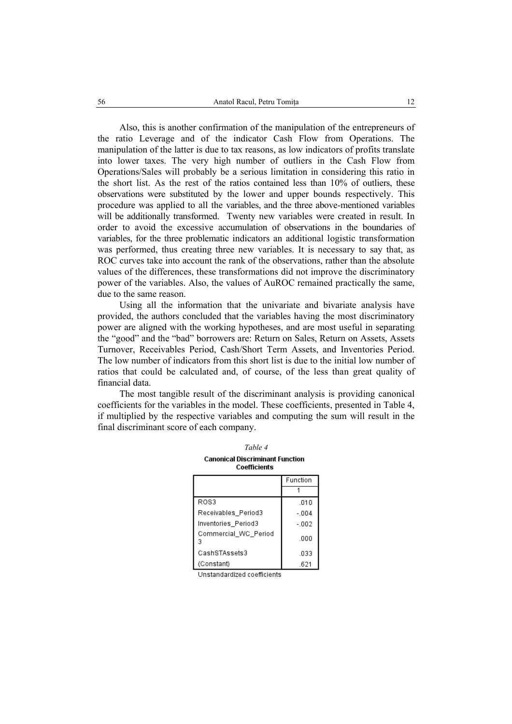Also, this is another confirmation of the manipulation of the entrepreneurs of the ratio Leverage and of the indicator Cash Flow from Operations. The manipulation of the latter is due to tax reasons, as low indicators of profits translate into lower taxes. The very high number of outliers in the Cash Flow from Operations/Sales will probably be a serious limitation in considering this ratio in the short list. As the rest of the ratios contained less than 10% of outliers, these observations were substituted by the lower and upper bounds respectively. This procedure was applied to all the variables, and the three above-mentioned variables will be additionally transformed. Twenty new variables were created in result. In order to avoid the excessive accumulation of observations in the boundaries of variables, for the three problematic indicators an additional logistic transformation was performed, thus creating three new variables. It is necessary to say that, as ROC curves take into account the rank of the observations, rather than the absolute values of the differences, these transformations did not improve the discriminatory power of the variables. Also, the values of AuROC remained practically the same, due to the same reason.

Using all the information that the univariate and bivariate analysis have provided, the authors concluded that the variables having the most discriminatory power are aligned with the working hypotheses, and are most useful in separating the "good" and the "bad" borrowers are: Return on Sales, Return on Assets, Assets Turnover, Receivables Period, Cash/Short Term Assets, and Inventories Period. The low number of indicators from this short list is due to the initial low number of ratios that could be calculated and, of course, of the less than great quality of financial data.

The most tangible result of the discriminant analysis is providing canonical coefficients for the variables in the model. These coefficients, presented in Table 4, if multiplied by the respective variables and computing the sum will result in the final discriminant score of each company.

| Table 4                                                |          |  |  |  |  |
|--------------------------------------------------------|----------|--|--|--|--|
| <b>Canonical Discriminant Function</b><br>Coefficients |          |  |  |  |  |
|                                                        | Function |  |  |  |  |
|                                                        |          |  |  |  |  |
| ROS3                                                   | .010     |  |  |  |  |
| Receivables Period3                                    | $-004$   |  |  |  |  |
| Inventories_Period3                                    | $-002$   |  |  |  |  |
| Commercial WC Period<br>3                              | .000     |  |  |  |  |
| CashSTAssets3                                          | .033     |  |  |  |  |
| (Constant)                                             | .621     |  |  |  |  |

Unstandardized coefficients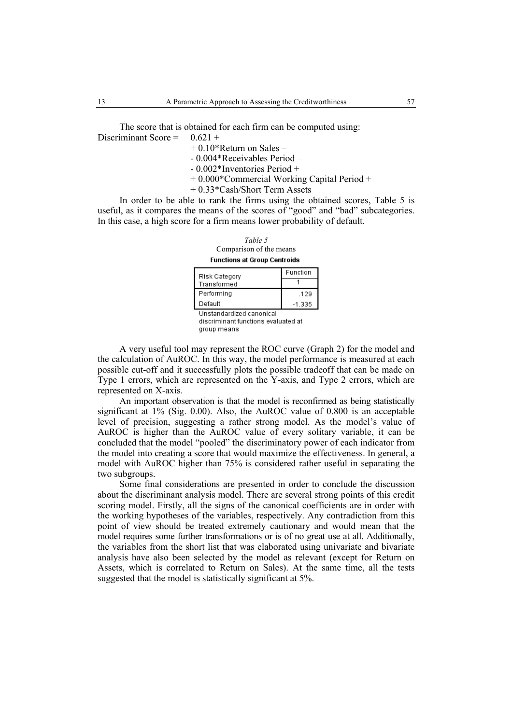The score that is obtained for each firm can be computed using: Discriminant Score =  $0.621 +$ 

 $+ 0.10*$ Return on Sales –

- 0.004\*Receivables Period –

- 0.002\*Inventories Period +

+ 0.000\*Commercial Working Capital Period +

+ 0.33\*Cash/Short Term Assets

In order to be able to rank the firms using the obtained scores, Table 5 is useful, as it compares the means of the scores of "good" and "bad" subcategories. In this case, a high score for a firm means lower probability of default.

*Table 5*  Comparison of the means **Functions at Group Centroids** 

| Risk Category                                                                                     | Function |  |  |  |
|---------------------------------------------------------------------------------------------------|----------|--|--|--|
| Transformed                                                                                       |          |  |  |  |
| Performing                                                                                        | .129     |  |  |  |
| Default                                                                                           | $-1.335$ |  |  |  |
| Unstandardized canonical<br>alian a cione incorpo della concelta come communicato della collega d |          |  |  |  |

discriminant functions evaluated at group means

A very useful tool may represent the ROC curve (Graph 2) for the model and the calculation of AuROC. In this way, the model performance is measured at each possible cut-off and it successfully plots the possible tradeoff that can be made on Type 1 errors, which are represented on the Y-axis, and Type 2 errors, which are represented on X-axis.

An important observation is that the model is reconfirmed as being statistically significant at 1% (Sig. 0.00). Also, the AuROC value of 0.800 is an acceptable level of precision, suggesting a rather strong model. As the model's value of AuROC is higher than the AuROC value of every solitary variable, it can be concluded that the model "pooled" the discriminatory power of each indicator from the model into creating a score that would maximize the effectiveness. In general, a model with AuROC higher than 75% is considered rather useful in separating the two subgroups.

Some final considerations are presented in order to conclude the discussion about the discriminant analysis model. There are several strong points of this credit scoring model. Firstly, all the signs of the canonical coefficients are in order with the working hypotheses of the variables, respectively. Any contradiction from this point of view should be treated extremely cautionary and would mean that the model requires some further transformations or is of no great use at all. Additionally, the variables from the short list that was elaborated using univariate and bivariate analysis have also been selected by the model as relevant (except for Return on Assets, which is correlated to Return on Sales). At the same time, all the tests suggested that the model is statistically significant at 5%.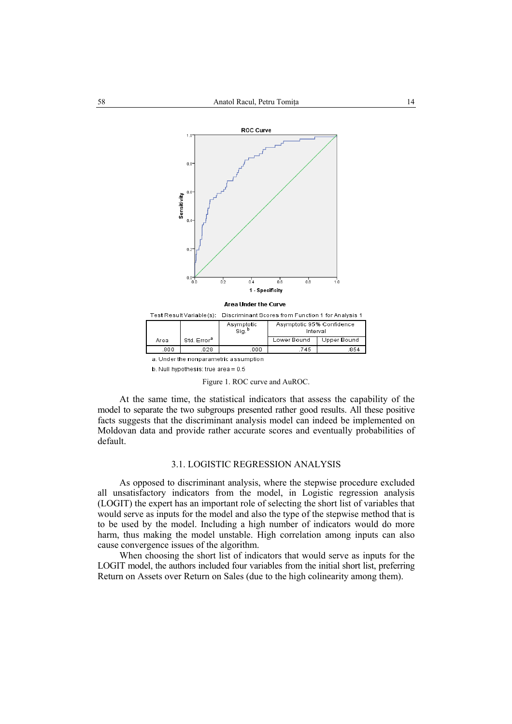

Interval Sig. Std. Error<sup>a</sup> Lower Bound Upper Bound Area  $.800$  $.028$  $.000$ 745 .854 a. Under the nonparametric assumption

b. Null hypothesis: true area = 0.5

Figure 1. ROC curve and AuROC.

At the same time, the statistical indicators that assess the capability of the model to separate the two subgroups presented rather good results. All these positive facts suggests that the discriminant analysis model can indeed be implemented on Moldovan data and provide rather accurate scores and eventually probabilities of default.

## 3.1. LOGISTIC REGRESSION ANALYSIS

As opposed to discriminant analysis, where the stepwise procedure excluded all unsatisfactory indicators from the model, in Logistic regression analysis (LOGIT) the expert has an important role of selecting the short list of variables that would serve as inputs for the model and also the type of the stepwise method that is to be used by the model. Including a high number of indicators would do more harm, thus making the model unstable. High correlation among inputs can also cause convergence issues of the algorithm.

When choosing the short list of indicators that would serve as inputs for the LOGIT model, the authors included four variables from the initial short list, preferring Return on Assets over Return on Sales (due to the high colinearity among them).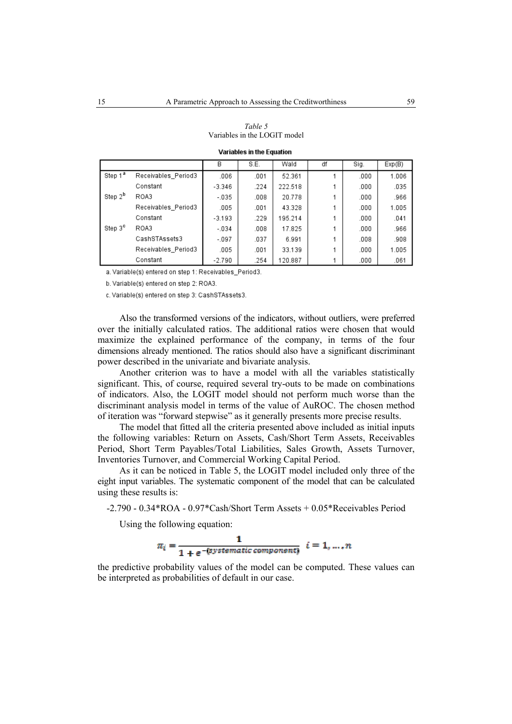|                     |                     | В        | S.E. | Wald    | df | Sig. | Exp(B) |
|---------------------|---------------------|----------|------|---------|----|------|--------|
| Step 1 <sup>a</sup> | Receivables Period3 | .006     | .001 | 52.361  |    | .000 | 1.006  |
|                     | Constant            | $-3.346$ | .224 | 222.518 |    | .000 | .035   |
| Step 2 <sup>b</sup> | ROA3                | $-0.35$  | .008 | 20.778  |    | .000 | .966   |
|                     | Receivables Period3 | .005     | .001 | 43.328  |    | .000 | 1.005  |
|                     | Constant            | $-3.193$ | .229 | 195.214 |    | .000 | .041   |
| Step 3 <sup>c</sup> | ROA3                | $-034$   | .008 | 17.825  |    | .000 | .966   |
|                     | CashSTAssets3       | $-097$   | .037 | 6.991   |    | .008 | .908   |
|                     | Receivables Period3 | .005     | .001 | 33.139  |    | .000 | 1.005  |
|                     | Constant            | $-2.790$ | .254 | 120.887 |    | .000 | .061   |

*Table 5*  Variables in the LOGIT model

Variables in the Equation

a. Variable(s) entered on step 1: Receivables\_Period3.

b. Variable(s) entered on step 2: ROA3.

c. Variable(s) entered on step 3: CashSTAssets3.

Also the transformed versions of the indicators, without outliers, were preferred over the initially calculated ratios. The additional ratios were chosen that would maximize the explained performance of the company, in terms of the four dimensions already mentioned. The ratios should also have a significant discriminant power described in the univariate and bivariate analysis.

Another criterion was to have a model with all the variables statistically significant. This, of course, required several try-outs to be made on combinations of indicators. Also, the LOGIT model should not perform much worse than the discriminant analysis model in terms of the value of AuROC. The chosen method of iteration was "forward stepwise" as it generally presents more precise results.

The model that fitted all the criteria presented above included as initial inputs the following variables: Return on Assets, Cash/Short Term Assets, Receivables Period, Short Term Payables/Total Liabilities, Sales Growth, Assets Turnover, Inventories Turnover, and Commercial Working Capital Period.

As it can be noticed in Table 5, the LOGIT model included only three of the eight input variables. The systematic component of the model that can be calculated using these results is:

-2.790 - 0.34\*ROA - 0.97\*Cash/Short Term Assets + 0.05\*Receivables Period

Using the following equation:



the predictive probability values of the model can be computed. These values can be interpreted as probabilities of default in our case.